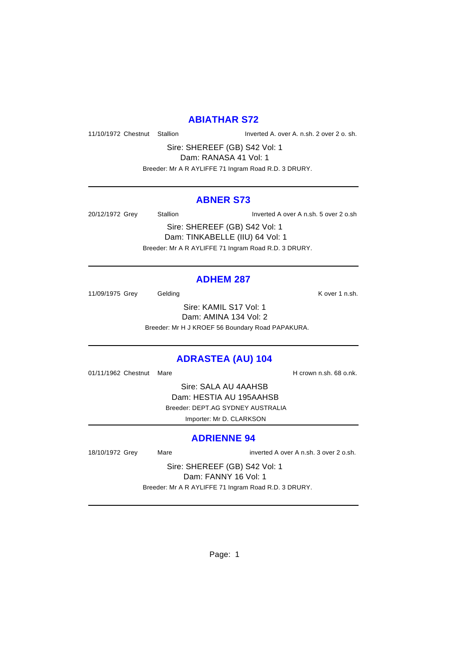#### **ABIATHAR S72**

11/10/1972 Chestnut Stallion Inverted A. over A. n.sh. 2 over 2 o. sh.

Sire: SHEREEF (GB) S42 Vol: 1 Dam: RANASA 41 Vol: 1

Breeder: Mr A R AYLIFFE 71 Ingram Road R.D. 3 DRURY.

#### **ABNER S73**

20/12/1972 Grey Stallion Inverted A over A n.sh. 5 over 2 o.sh

Sire: SHEREEF (GB) S42 Vol: 1 Dam: TINKABELLE (IIU) 64 Vol: 1 Breeder: Mr A R AYLIFFE 71 Ingram Road R.D. 3 DRURY.

#### **ADHEM 287**

11/09/1975 Grey Gelding Care Contact Cover 1 n.sh.

Sire: KAMIL S17 Vol: 1 Dam: AMINA 134 Vol: 2 Breeder: Mr H J KROEF 56 Boundary Road PAPAKURA.

# **ADRASTEA (AU) 104**

01/11/1962 Chestnut Mare **H** crown n.sh. 68 o.nk.

Sire: SALA AU 4AAHSB Dam: HESTIA AU 195AAHSB Breeder: DEPT.AG SYDNEY AUSTRALIA Importer: Mr D. CLARKSON

#### **ADRIENNE 94**

18/10/1972 Grey Mare inverted A over A n.sh. 3 over 2 o.sh.

Sire: SHEREEF (GB) S42 Vol: 1 Dam: FANNY 16 Vol: 1 Breeder: Mr A R AYLIFFE 71 Ingram Road R.D. 3 DRURY.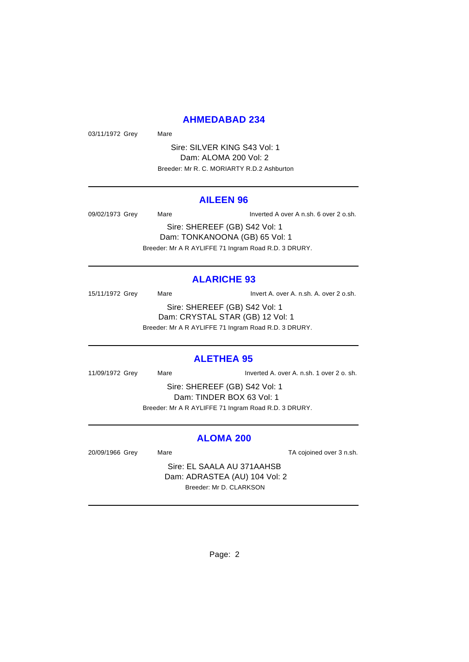#### **AHMEDABAD 234**

03/11/1972 Grey Mare

Sire: SILVER KING S43 Vol: 1 Dam: ALOMA 200 Vol: 2 Breeder: Mr R. C. MORIARTY R.D.2 Ashburton

#### **AILEEN 96**

09/02/1973 Grey Mare Inverted A over A n.sh. 6 over 2 o.sh.

Sire: SHEREEF (GB) S42 Vol: 1 Dam: TONKANOONA (GB) 65 Vol: 1 Breeder: Mr A R AYLIFFE 71 Ingram Road R.D. 3 DRURY.

# **ALARICHE 93**

15/11/1972 Grey Mare Mare Invert A. over A. n.sh. A. over 2 o.sh. Sire: SHEREEF (GB) S42 Vol: 1 Dam: CRYSTAL STAR (GB) 12 Vol: 1 Breeder: Mr A R AYLIFFE 71 Ingram Road R.D. 3 DRURY.

# **ALETHEA 95**

11/09/1972 Grey Mare Inverted A. over A. n.sh. 1 over 2 o. sh.

Sire: SHEREEF (GB) S42 Vol: 1 Dam: TINDER BOX 63 Vol: 1 Breeder: Mr A R AYLIFFE 71 Ingram Road R.D. 3 DRURY.

#### **ALOMA 200**

20/09/1966 Grey Mare TA cojoined over 3 n.sh.

Sire: EL SAALA AU 371AAHSB Dam: ADRASTEA (AU) 104 Vol: 2 Breeder: Mr D. CLARKSON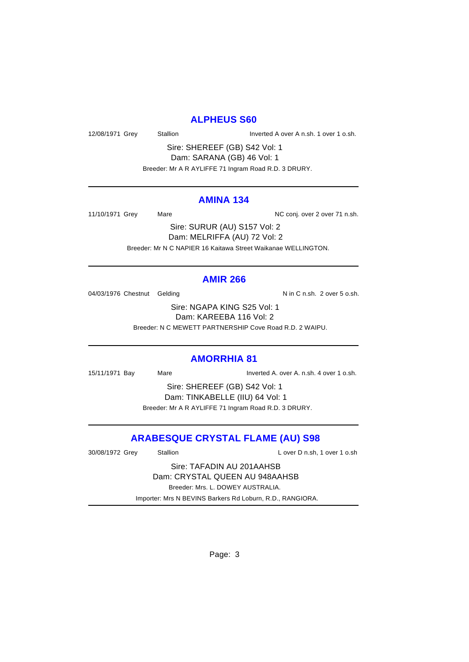# **ALPHEUS S60**

12/08/1971 Grey Stallion Stallion State State Report A over A n.sh. 1 over 1 o.sh.

Sire: SHEREEF (GB) S42 Vol: 1 Dam: SARANA (GB) 46 Vol: 1 Breeder: Mr A R AYLIFFE 71 Ingram Road R.D. 3 DRURY.

#### **AMINA 134**

11/10/1971 Grey Mare Mare NC conj. over 2 over 71 n.sh.

Sire: SURUR (AU) S157 Vol: 2 Dam: MELRIFFA (AU) 72 Vol: 2 Breeder: Mr N C NAPIER 16 Kaitawa Street Waikanae WELLINGTON.

#### **AMIR 266**

04/03/1976 Chestnut Gelding Nin C n.sh. 2 over 5 o.sh.

Sire: NGAPA KING S25 Vol: 1 Dam: KAREEBA 116 Vol: 2 Breeder: N C MEWETT PARTNERSHIP Cove Road R.D. 2 WAIPU.

# **AMORRHIA 81**

15/11/1971 Bay Mare Inverted A. over A. n.sh. 4 over 1 o.sh.

Sire: SHEREEF (GB) S42 Vol: 1 Dam: TINKABELLE (IIU) 64 Vol: 1 Breeder: Mr A R AYLIFFE 71 Ingram Road R.D. 3 DRURY.

# **ARABESQUE CRYSTAL FLAME (AU) S98**

| Stallion                                                  | L over D n.sh, 1 over 1 o.sh |  |  |
|-----------------------------------------------------------|------------------------------|--|--|
| Sire: TAFADIN AU 201AAHSB                                 |                              |  |  |
| Dam: CRYSTAL QUEEN AU 948AAHSB                            |                              |  |  |
| Breeder: Mrs. L. DOWEY AUSTRALIA.                         |                              |  |  |
| Importer: Mrs N BEVINS Barkers Rd Loburn, R.D., RANGIORA. |                              |  |  |
|                                                           |                              |  |  |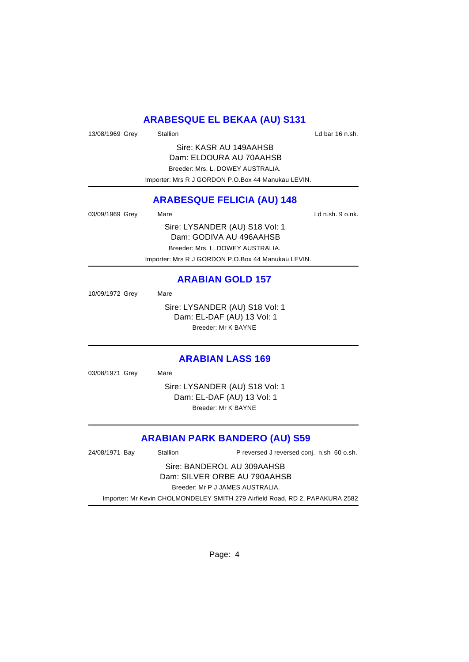# **ARABESQUE EL BEKAA (AU) S131**

13/08/1969 Grey Stallion States States and Ld bar 16 n.sh.

Sire: KASR AU 149AAHSB Dam: ELDOURA AU 70AAHSB Breeder: Mrs. L. DOWEY AUSTRALIA. Importer: Mrs R J GORDON P.O.Box 44 Manukau LEVIN.

# **ARABESQUE FELICIA (AU) 148**

| 03/09/1969 Grey | Mare                                               | Ld n.sh. 9 o.nk. |
|-----------------|----------------------------------------------------|------------------|
|                 | Sire: LYSANDER (AU) S18 Vol: 1                     |                  |
|                 | Dam: GODIVA AU 496AAHSB                            |                  |
|                 | Breeder: Mrs. L. DOWEY AUSTRALIA.                  |                  |
|                 | Importer: Mrs R J GORDON P.O.Box 44 Manukau LEVIN. |                  |

#### **ARABIAN GOLD 157**

10/09/1972 Grey Mare Sire: LYSANDER (AU) S18 Vol: 1 Dam: EL-DAF (AU) 13 Vol: 1 Breeder: Mr K BAYNE

#### **ARABIAN LASS 169**

03/08/1971 Grey Mare

Sire: LYSANDER (AU) S18 Vol: 1 Dam: EL-DAF (AU) 13 Vol: 1 Breeder: Mr K BAYNE

# **ARABIAN PARK BANDERO (AU) S59**

| 24/08/1971 Bay                                                               | <b>Stallion</b> | P reversed J reversed conj. n.sh 60 o.sh. |
|------------------------------------------------------------------------------|-----------------|-------------------------------------------|
| Sire: BANDEROL AU 309AAHSB                                                   |                 |                                           |
| Dam: SILVER ORBE AU 790AAHSB                                                 |                 |                                           |
| Breeder: Mr P J JAMES AUSTRALIA.                                             |                 |                                           |
| Importer: Mr Kevin CHOLMONDELEY SMITH 279 Airfield Road, RD 2, PAPAKURA 2582 |                 |                                           |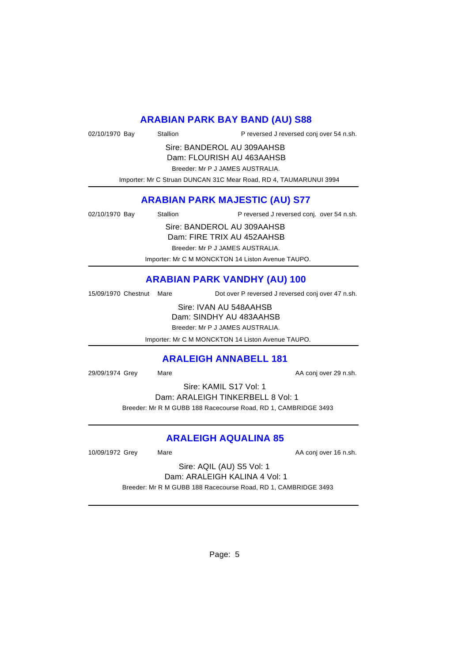# **ARABIAN PARK BAY BAND (AU) S88**

| 02/10/1970 Bay | Stallion | P reversed J reversed conj over 54 n.sh. |  |
|----------------|----------|------------------------------------------|--|
|                |          |                                          |  |

Sire: BANDEROL AU 309AAHSB Dam: FLOURISH AU 463AAHSB

Breeder: Mr P J JAMES AUSTRALIA.

Importer: Mr C Struan DUNCAN 31C Mear Road, RD 4, TAUMARUNUI 3994

# **ARABIAN PARK MAJESTIC (AU) S77**

| 02/10/1970 Bay | Stallion | P reversed J reversed conj. over 54 n.sh. |
|----------------|----------|-------------------------------------------|

Sire: BANDEROL AU 309AAHSB Dam: FIRE TRIX AU 452AAHSB

Breeder: Mr P J JAMES AUSTRALIA.

Importer: Mr C M MONCKTON 14 Liston Avenue TAUPO.

# **ARABIAN PARK VANDHY (AU) 100**

15/09/1970 Chestnut Mare Dot over P reversed J reversed conj over 47 n.sh.

Sire: IVAN AU 548AAHSB

Dam: SINDHY AU 483AAHSB

Breeder: Mr P J JAMES AUSTRALIA.

Importer: Mr C M MONCKTON 14 Liston Avenue TAUPO.

# **ARALEIGH ANNABELL 181**

29/09/1974 Grey Mare Mare AA conj over 29 n.sh.

Sire: KAMIL S17 Vol: 1 Dam: ARALEIGH TINKERBELL 8 Vol: 1 Breeder: Mr R M GUBB 188 Racecourse Road, RD 1, CAMBRIDGE 3493

# **ARALEIGH AQUALINA 85**

10/09/1972 Grey Mare Mare AA conj over 16 n.sh.

Sire: AQIL (AU) S5 Vol: 1 Dam: ARALEIGH KALINA 4 Vol: 1 Breeder: Mr R M GUBB 188 Racecourse Road, RD 1, CAMBRIDGE 3493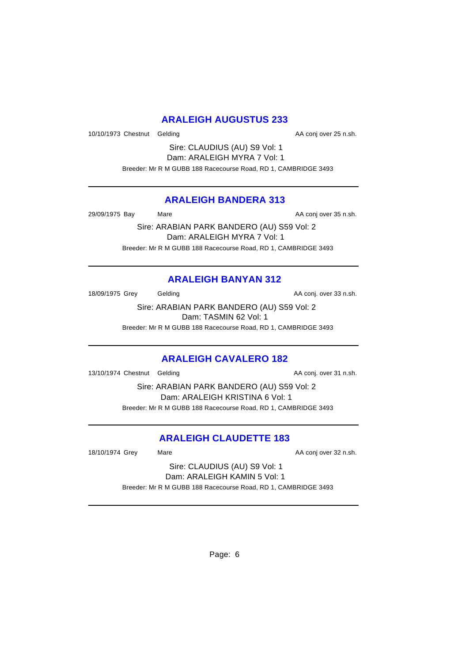# **ARALEIGH AUGUSTUS 233**

10/10/1973 Chestnut Gelding and and the AA conj over 25 n.sh.

Sire: CLAUDIUS (AU) S9 Vol: 1 Dam: ARALEIGH MYRA 7 Vol: 1 Breeder: Mr R M GUBB 188 Racecourse Road, RD 1, CAMBRIDGE 3493

#### **ARALEIGH BANDERA 313**

29/09/1975 Bay Mare Mare AA conj over 35 n.sh.

Sire: ARABIAN PARK BANDERO (AU) S59 Vol: 2 Dam: ARALEIGH MYRA 7 Vol: 1 Breeder: Mr R M GUBB 188 Racecourse Road, RD 1, CAMBRIDGE 3493

# **ARALEIGH BANYAN 312**

18/09/1975 Grey Gelding Case Conj. over 33 n.sh.

Sire: ARABIAN PARK BANDERO (AU) S59 Vol: 2 Dam: TASMIN 62 Vol: 1

Breeder: Mr R M GUBB 188 Racecourse Road, RD 1, CAMBRIDGE 3493

#### **ARALEIGH CAVALERO 182**

13/10/1974 Chestnut Gelding and AA conj. over 31 n.sh.

Sire: ARABIAN PARK BANDERO (AU) S59 Vol: 2 Dam: ARALEIGH KRISTINA 6 Vol: 1 Breeder: Mr R M GUBB 188 Racecourse Road, RD 1, CAMBRIDGE 3493

# **ARALEIGH CLAUDETTE 183**

18/10/1974 Grey Mare Mare AA conj over 32 n.sh.

Sire: CLAUDIUS (AU) S9 Vol: 1 Dam: ARALEIGH KAMIN 5 Vol: 1 Breeder: Mr R M GUBB 188 Racecourse Road, RD 1, CAMBRIDGE 3493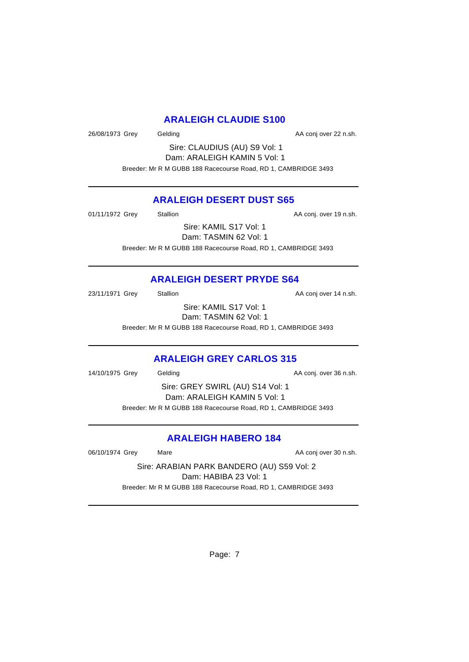## **ARALEIGH CLAUDIE S100**

26/08/1973 Grey Gelding Case Conjover 22 n.sh.

Sire: CLAUDIUS (AU) S9 Vol: 1 Dam: ARALEIGH KAMIN 5 Vol: 1 Breeder: Mr R M GUBB 188 Racecourse Road, RD 1, CAMBRIDGE 3493

## **ARALEIGH DESERT DUST S65**

01/11/1972 Grey Stallion Stallion State AA conj. over 19 n.sh.

Sire: KAMIL S17 Vol: 1 Dam: TASMIN 62 Vol: 1 Breeder: Mr R M GUBB 188 Racecourse Road, RD 1, CAMBRIDGE 3493

# **ARALEIGH DESERT PRYDE S64**

23/11/1971 Grey Stallion Stallion AA conj over 14 n.sh.

Sire: KAMIL S17 Vol: 1 Dam: TASMIN 62 Vol: 1

Breeder: Mr R M GUBB 188 Racecourse Road, RD 1, CAMBRIDGE 3493

# **ARALEIGH GREY CARLOS 315**

14/10/1975 Grey Gelding Case Conj. over 36 n.sh.

Sire: GREY SWIRL (AU) S14 Vol: 1 Dam: ARALEIGH KAMIN 5 Vol: 1 Breeder: Mr R M GUBB 188 Racecourse Road, RD 1, CAMBRIDGE 3493

# **ARALEIGH HABERO 184**

06/10/1974 Grey Mare Mare AA conj over 30 n.sh.

Sire: ARABIAN PARK BANDERO (AU) S59 Vol: 2 Dam: HABIBA 23 Vol: 1 Breeder: Mr R M GUBB 188 Racecourse Road, RD 1, CAMBRIDGE 3493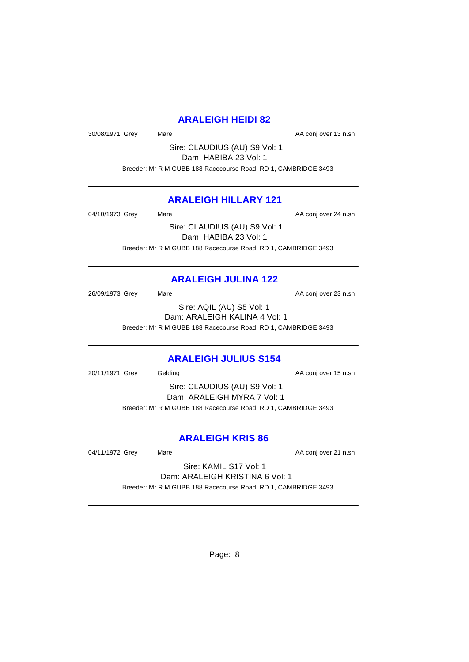# **ARALEIGH HEIDI 82**

30/08/1971 Grey Mare Mare AA conj over 13 n.sh.

Sire: CLAUDIUS (AU) S9 Vol: 1 Dam: HABIBA 23 Vol: 1 Breeder: Mr R M GUBB 188 Racecourse Road, RD 1, CAMBRIDGE 3493

# **ARALEIGH HILLARY 121**

04/10/1973 Grey Mare Mare AA conj over 24 n.sh.

Sire: CLAUDIUS (AU) S9 Vol: 1 Dam: HABIBA 23 Vol: 1 Breeder: Mr R M GUBB 188 Racecourse Road, RD 1, CAMBRIDGE 3493

# **ARALEIGH JULINA 122**

26/09/1973 Grey Mare Mare AA conj over 23 n.sh.

Sire: AQIL (AU) S5 Vol: 1 Dam: ARALEIGH KALINA 4 Vol: 1 Breeder: Mr R M GUBB 188 Racecourse Road, RD 1, CAMBRIDGE 3493

# **ARALEIGH JULIUS S154**

20/11/1971 Grey Gelding Case Conjover 15 n.sh.

Sire: CLAUDIUS (AU) S9 Vol: 1 Dam: ARALEIGH MYRA 7 Vol: 1 Breeder: Mr R M GUBB 188 Racecourse Road, RD 1, CAMBRIDGE 3493

# **ARALEIGH KRIS 86**

04/11/1972 Grey Mare Mare AA conj over 21 n.sh.

Sire: KAMIL S17 Vol: 1 Dam: ARALEIGH KRISTINA 6 Vol: 1 Breeder: Mr R M GUBB 188 Racecourse Road, RD 1, CAMBRIDGE 3493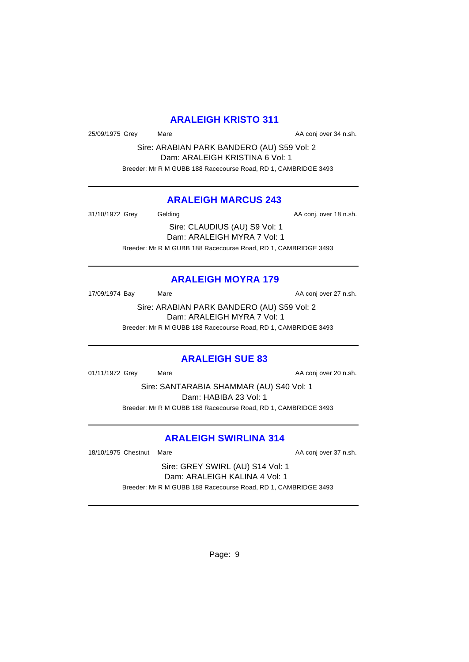# **ARALEIGH KRISTO 311**

25/09/1975 Grey Mare Mare AA conj over 34 n.sh.

Sire: ARABIAN PARK BANDERO (AU) S59 Vol: 2 Dam: ARALEIGH KRISTINA 6 Vol: 1 Breeder: Mr R M GUBB 188 Racecourse Road, RD 1, CAMBRIDGE 3493

## **ARALEIGH MARCUS 243**

31/10/1972 Grey Gelding Gelding AA conj. over 18 n.sh.

Sire: CLAUDIUS (AU) S9 Vol: 1 Dam: ARALEIGH MYRA 7 Vol: 1 Breeder: Mr R M GUBB 188 Racecourse Road, RD 1, CAMBRIDGE 3493

# **ARALEIGH MOYRA 179**

17/09/1974 Bay Mare Mare AA conj over 27 n.sh.

Sire: ARABIAN PARK BANDERO (AU) S59 Vol: 2 Dam: ARALEIGH MYRA 7 Vol: 1 Breeder: Mr R M GUBB 188 Racecourse Road, RD 1, CAMBRIDGE 3493

# **ARALEIGH SUE 83**

01/11/1972 Grey Mare Mare AA conj over 20 n.sh.

Sire: SANTARABIA SHAMMAR (AU) S40 Vol: 1 Dam: HABIBA 23 Vol: 1 Breeder: Mr R M GUBB 188 Racecourse Road, RD 1, CAMBRIDGE 3493

# **ARALEIGH SWIRLINA 314**

18/10/1975 Chestnut Mare **AA conj over 37 n.sh.** AA conj over 37 n.sh.

Sire: GREY SWIRL (AU) S14 Vol: 1 Dam: ARALEIGH KALINA 4 Vol: 1 Breeder: Mr R M GUBB 188 Racecourse Road, RD 1, CAMBRIDGE 3493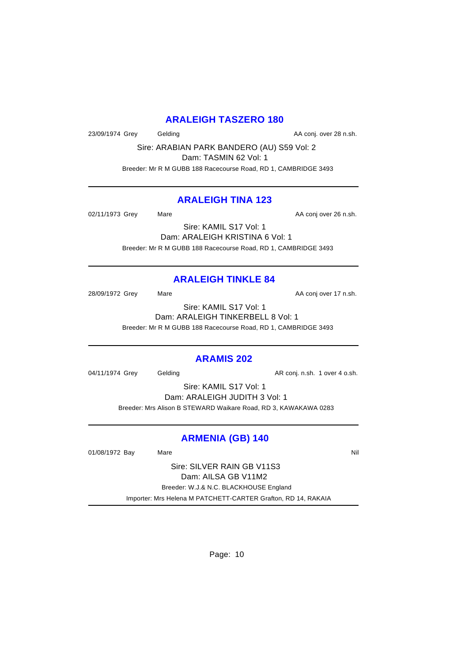#### **ARALEIGH TASZERO 180**

23/09/1974 Grey Gelding Case Conj. over 28 n.sh.

Sire: ARABIAN PARK BANDERO (AU) S59 Vol: 2 Dam: TASMIN 62 Vol: 1

Breeder: Mr R M GUBB 188 Racecourse Road, RD 1, CAMBRIDGE 3493

## **ARALEIGH TINA 123**

02/11/1973 Grey Mare Mare AA conj over 26 n.sh.

Sire: KAMIL S17 Vol: 1 Dam: ARALEIGH KRISTINA 6 Vol: 1 Breeder: Mr R M GUBB 188 Racecourse Road, RD 1, CAMBRIDGE 3493

# **ARALEIGH TINKLE 84**

28/09/1972 Grey Mare Mare AA conj over 17 n.sh.

Sire: KAMIL S17 Vol: 1 Dam: ARALEIGH TINKERBELL 8 Vol: 1 Breeder: Mr R M GUBB 188 Racecourse Road, RD 1, CAMBRIDGE 3493

#### **ARAMIS 202**

04/11/1974 Grey Gelding Construction and AR conj. n.sh. 1 over 4 o.sh.

Sire: KAMIL S17 Vol: 1 Dam: ARALEIGH JUDITH 3 Vol: 1 Breeder: Mrs Alison B STEWARD Waikare Road, RD 3, KAWAKAWA 0283

# **ARMENIA (GB) 140**

01/08/1972 Bay Mare National Market Market Market Market Market Market Market Market Market Market Market Market M

Sire: SILVER RAIN GB V11S3 Dam: AILSA GB V11M2 Breeder: W.J.& N.C. BLACKHOUSE England Importer: Mrs Helena M PATCHETT-CARTER Grafton, RD 14, RAKAIA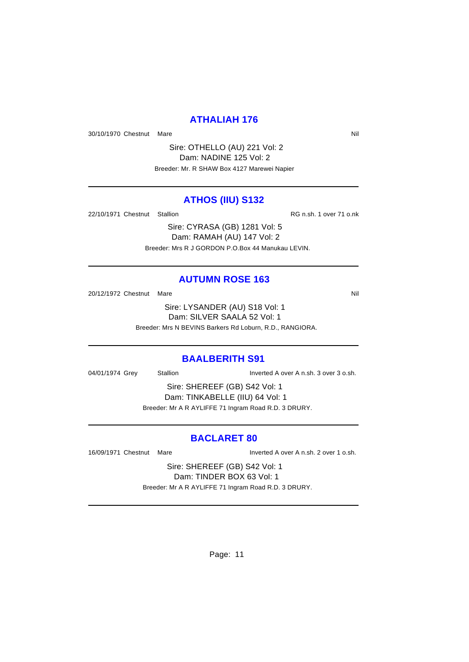#### **ATHALIAH 176**

30/10/1970 Chestnut Mare Nil and Solid Mare Nil and Solid Mare Nil and Solid Mare Nil and Solid Mare Nil and Solid Mare Nil and Solid Mare Nil and Solid Mare Nil and Solid Mare Nil and Solid Mare Nil and Solid Mare Nil and

Sire: OTHELLO (AU) 221 Vol: 2 Dam: NADINE 125 Vol: 2 Breeder: Mr. R SHAW Box 4127 Marewei Napier

#### **ATHOS (IIU) S132**

22/10/1971 Chestnut Stallion RG n.sh. 1 over 71 o.nk

Sire: CYRASA (GB) 1281 Vol: 5 Dam: RAMAH (AU) 147 Vol: 2 Breeder: Mrs R J GORDON P.O.Box 44 Manukau LEVIN.

#### **AUTUMN ROSE 163**

20/12/1972 Chestnut Mare Nil

Sire: LYSANDER (AU) S18 Vol: 1 Dam: SILVER SAALA 52 Vol: 1 Breeder: Mrs N BEVINS Barkers Rd Loburn, R.D., RANGIORA.

#### **BAALBERITH S91**

04/01/1974 Grey Stallion Inverted A over A n.sh. 3 over 3 o.sh.

Sire: SHEREEF (GB) S42 Vol: 1 Dam: TINKABELLE (IIU) 64 Vol: 1 Breeder: Mr A R AYLIFFE 71 Ingram Road R.D. 3 DRURY.

#### **BACLARET 80**

16/09/1971 Chestnut Mare Inverted A over A n.sh. 2 over 1 o.sh.

Sire: SHEREEF (GB) S42 Vol: 1 Dam: TINDER BOX 63 Vol: 1 Breeder: Mr A R AYLIFFE 71 Ingram Road R.D. 3 DRURY.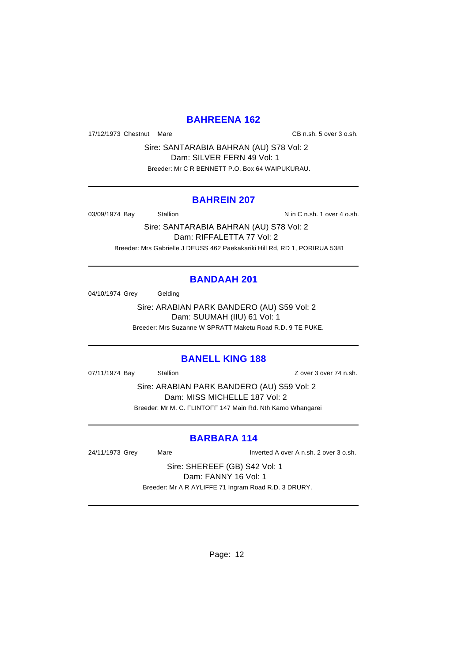## **BAHREENA 162**

17/12/1973 Chestnut Mare CB n.sh. 5 over 3 o.sh.

Sire: SANTARABIA BAHRAN (AU) S78 Vol: 2 Dam: SILVER FERN 49 Vol: 1 Breeder: Mr C R BENNETT P.O. Box 64 WAIPUKURAU.

#### **BAHREIN 207**

03/09/1974 Bay Stallion Stallion N in C n.sh. 1 over 4 o.sh.

Sire: SANTARABIA BAHRAN (AU) S78 Vol: 2 Dam: RIFFALETTA 77 Vol: 2 Breeder: Mrs Gabrielle J DEUSS 462 Paekakariki Hill Rd, RD 1, PORIRUA 5381

# **BANDAAH 201**

04/10/1974 Grey Gelding

Sire: ARABIAN PARK BANDERO (AU) S59 Vol: 2 Dam: SUUMAH (IIU) 61 Vol: 1 Breeder: Mrs Suzanne W SPRATT Maketu Road R.D. 9 TE PUKE.

#### **BANELL KING 188**

07/11/1974 Bay Stallion Stallion Stallion State State State State State State State State State State State St

Sire: ARABIAN PARK BANDERO (AU) S59 Vol: 2 Dam: MISS MICHELLE 187 Vol: 2 Breeder: Mr M. C. FLINTOFF 147 Main Rd. Nth Kamo Whangarei

# **BARBARA 114**

24/11/1973 Grey Mare Inverted A over A n.sh. 2 over 3 o.sh.

Sire: SHEREEF (GB) S42 Vol: 1 Dam: FANNY 16 Vol: 1 Breeder: Mr A R AYLIFFE 71 Ingram Road R.D. 3 DRURY.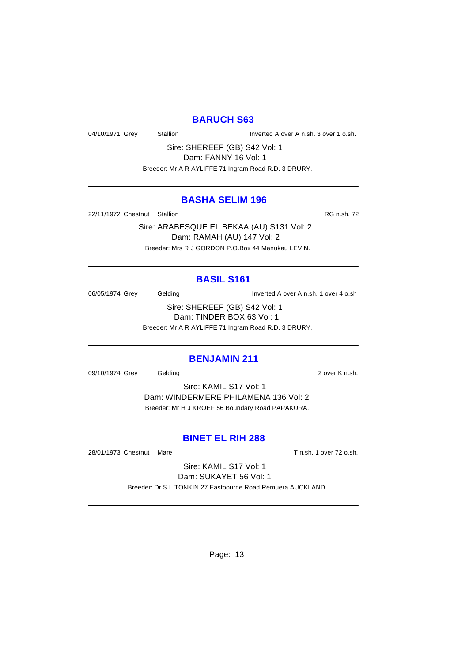#### **BARUCH S63**

04/10/1971 Grey Stallion Inverted A over A n.sh. 3 over 1 o.sh.

Sire: SHEREEF (GB) S42 Vol: 1 Dam: FANNY 16 Vol: 1

Breeder: Mr A R AYLIFFE 71 Ingram Road R.D. 3 DRURY.

#### **BASHA SELIM 196**

22/11/1972 Chestnut Stallion **RG n.sh. 72** 

Sire: ARABESQUE EL BEKAA (AU) S131 Vol: 2 Dam: RAMAH (AU) 147 Vol: 2 Breeder: Mrs R J GORDON P.O.Box 44 Manukau LEVIN.

#### **BASIL S161**

06/05/1974 Grey Gelding Inverted A over A n.sh. 1 over 4 o.sh

Sire: SHEREEF (GB) S42 Vol: 1 Dam: TINDER BOX 63 Vol: 1 Breeder: Mr A R AYLIFFE 71 Ingram Road R.D. 3 DRURY.

# **BENJAMIN 211**

09/10/1974 Grey Gelding Cover K n.sh.

Sire: KAMIL S17 Vol: 1 Dam: WINDERMERE PHILAMENA 136 Vol: 2 Breeder: Mr H J KROEF 56 Boundary Road PAPAKURA.

#### **BINET EL RIH 288**

28/01/1973 Chestnut Mare T n.sh. 1 over 72 o.sh.

Sire: KAMIL S17 Vol: 1 Dam: SUKAYET 56 Vol: 1 Breeder: Dr S L TONKIN 27 Eastbourne Road Remuera AUCKLAND.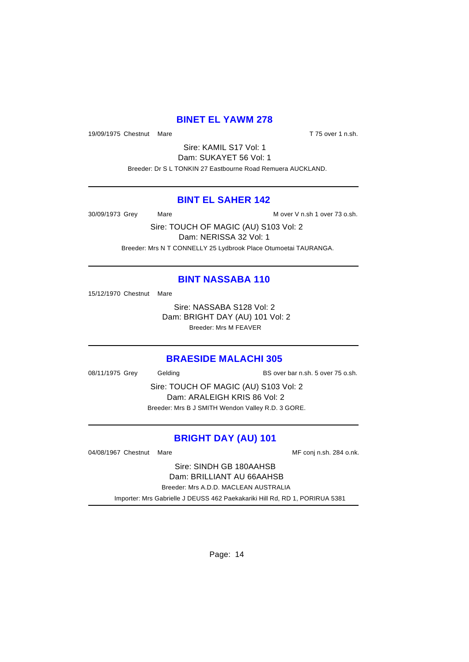#### **BINET EL YAWM 278**

19/09/1975 Chestnut Mare T 75 over 1 n.sh.

Sire: KAMIL S17 Vol: 1 Dam: SUKAYET 56 Vol: 1 Breeder: Dr S L TONKIN 27 Eastbourne Road Remuera AUCKLAND.

#### **BINT EL SAHER 142**

30/09/1973 Grey Mare M over V n.sh 1 over 73 o.sh.

Sire: TOUCH OF MAGIC (AU) S103 Vol: 2 Dam: NERISSA 32 Vol: 1 Breeder: Mrs N T CONNELLY 25 Lydbrook Place Otumoetai TAURANGA.

#### **BINT NASSABA 110**

15/12/1970 Chestnut Mare

Sire: NASSABA S128 Vol: 2 Dam: BRIGHT DAY (AU) 101 Vol: 2 Breeder: Mrs M FEAVER

#### **BRAESIDE MALACHI 305**

08/11/1975 Grey Gelding BS over bar n.sh. 5 over 75 o.sh.

Sire: TOUCH OF MAGIC (AU) S103 Vol: 2 Dam: ARALEIGH KRIS 86 Vol: 2 Breeder: Mrs B J SMITH Wendon Valley R.D. 3 GORE.

# **BRIGHT DAY (AU) 101**

04/08/1967 Chestnut Mare Mare Messenger MF conj n.sh. 284 o.nk.

Sire: SINDH GB 180AAHSB Dam: BRILLIANT AU 66AAHSB Breeder: Mrs A.D.D. MACLEAN AUSTRALIA Importer: Mrs Gabrielle J DEUSS 462 Paekakariki Hill Rd, RD 1, PORIRUA 5381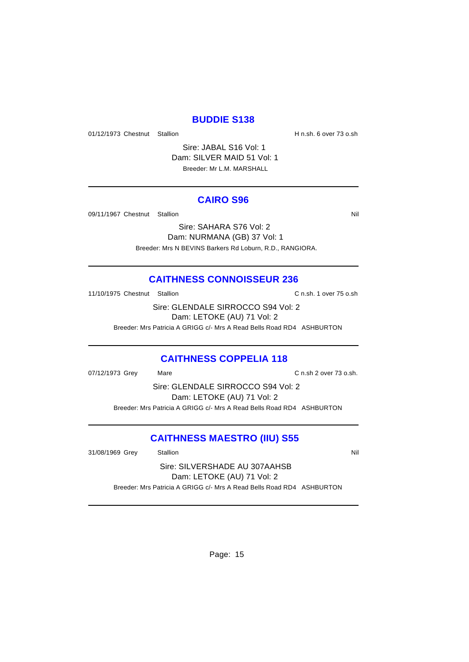#### **BUDDIE S138**

01/12/1973 Chestnut Stallion **H** n.sh. 6 over 73 o.sh

Sire: JABAL S16 Vol: 1 Dam: SILVER MAID 51 Vol: 1 Breeder: Mr L.M. MARSHALL

#### **CAIRO S96**

09/11/1967 Chestnut Stallion Nil and State of the Nil and State of Nil and State of Nil and State of Nil and St

Sire: SAHARA S76 Vol: 2

Dam: NURMANA (GB) 37 Vol: 1 Breeder: Mrs N BEVINS Barkers Rd Loburn, R.D., RANGIORA.

#### **CAITHNESS CONNOISSEUR 236**

11/10/1975 Chestnut Stallion C n.sh. 1 over 75 o.sh

Sire: GLENDALE SIRROCCO S94 Vol: 2 Dam: LETOKE (AU) 71 Vol: 2 Breeder: Mrs Patricia A GRIGG c/- Mrs A Read Bells Road RD4 ASHBURTON

#### **CAITHNESS COPPELIA 118**

07/12/1973 Grey Mare Mare C n.sh 2 over 73 o.sh.

Sire: GLENDALE SIRROCCO S94 Vol: 2 Dam: LETOKE (AU) 71 Vol: 2 Breeder: Mrs Patricia A GRIGG c/- Mrs A Read Bells Road RD4 ASHBURTON

#### **CAITHNESS MAESTRO (IIU) S55**

31/08/1969 Grey Stallion Stallion Stallion State State State State State State State State State State State State State State State State State State State State State State State State State State State State State State

Sire: SILVERSHADE AU 307AAHSB Dam: LETOKE (AU) 71 Vol: 2 Breeder: Mrs Patricia A GRIGG c/- Mrs A Read Bells Road RD4 ASHBURTON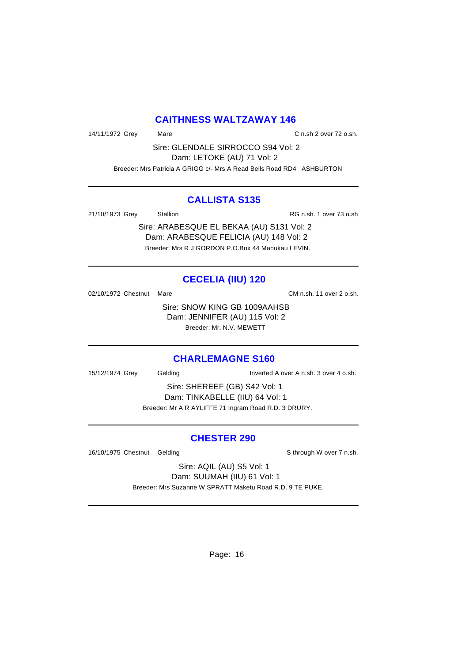#### **CAITHNESS WALTZAWAY 146**

14/11/1972 Grey Mare Mare C n.sh 2 over 72 o.sh.

Sire: GLENDALE SIRROCCO S94 Vol: 2 Dam: LETOKE (AU) 71 Vol: 2 Breeder: Mrs Patricia A GRIGG c/- Mrs A Read Bells Road RD4 ASHBURTON

#### **CALLISTA S135**

21/10/1973 Grey Stallion RG n.sh. 1 over 73 o.sh

Sire: ARABESQUE EL BEKAA (AU) S131 Vol: 2 Dam: ARABESQUE FELICIA (AU) 148 Vol: 2 Breeder: Mrs R J GORDON P.O.Box 44 Manukau LEVIN.

# **CECELIA (IIU) 120**

02/10/1972 Chestnut Mare CM n.sh. 11 over 2 o.sh.

Sire: SNOW KING GB 1009AAHSB Dam: JENNIFER (AU) 115 Vol: 2 Breeder: Mr. N.V. MEWETT

#### **CHARLEMAGNE S160**

15/12/1974 Grey Gelding Inverted A over A n.sh. 3 over 4 o.sh.

Sire: SHEREEF (GB) S42 Vol: 1 Dam: TINKABELLE (IIU) 64 Vol: 1 Breeder: Mr A R AYLIFFE 71 Ingram Road R.D. 3 DRURY.

#### **CHESTER 290**

16/10/1975 Chestnut Gelding School and Sthrough W over 7 n.sh.

Sire: AQIL (AU) S5 Vol: 1 Dam: SUUMAH (IIU) 61 Vol: 1

Breeder: Mrs Suzanne W SPRATT Maketu Road R.D. 9 TE PUKE.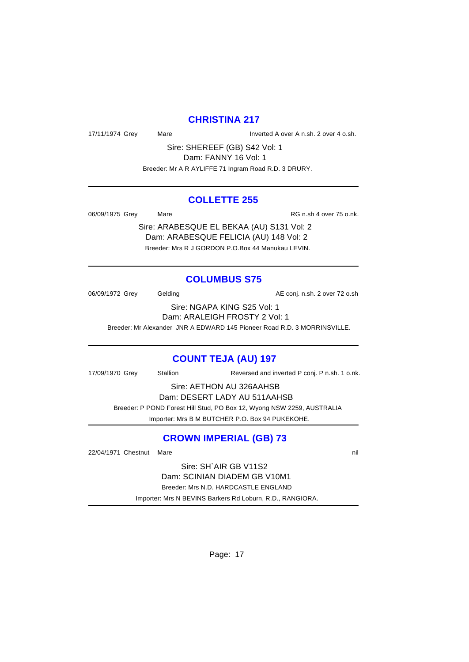#### **CHRISTINA 217**

17/11/1974 Grey Mare Mare Inverted A over A n.sh. 2 over 4 o.sh.

Sire: SHEREEF (GB) S42 Vol: 1 Dam: FANNY 16 Vol: 1

Breeder: Mr A R AYLIFFE 71 Ingram Road R.D. 3 DRURY.

#### **COLLETTE 255**

06/09/1975 Grey Mare Mare RG n.sh 4 over 75 o.nk.

Sire: ARABESQUE EL BEKAA (AU) S131 Vol: 2 Dam: ARABESQUE FELICIA (AU) 148 Vol: 2 Breeder: Mrs R J GORDON P.O.Box 44 Manukau LEVIN.

# **COLUMBUS S75**

06/09/1972 Grey Gelding Conj. n.sh. 2 over 72 o.sh

Sire: NGAPA KING S25 Vol: 1

Dam: ARALEIGH FROSTY 2 Vol: 1

Breeder: Mr Alexander JNR A EDWARD 145 Pioneer Road R.D. 3 MORRINSVILLE.

# **COUNT TEJA (AU) 197**

17/09/1970 Grey Stallion Reversed and inverted P conj. P n.sh. 1 o.nk.

Sire: AETHON AU 326AAHSB

Dam: DESERT LADY AU 511AAHSB

 Breeder: P POND Forest Hill Stud, PO Box 12, Wyong NSW 2259, AUSTRALIA Importer: Mrs B M BUTCHER P.O. Box 94 PUKEKOHE.

# **CROWN IMPERIAL (GB) 73**

22/04/1971 Chestnut Mare nill and the nill and the nill and the nill and the nill and the nill and the nill and the nill and the nill and the nill and the nill and the nill and the nill and the nill and the nill and the ni

Sire: SH`AIR GB V11S2 Dam: SCINIAN DIADEM GB V10M1 Breeder: Mrs N.D. HARDCASTLE ENGLAND Importer: Mrs N BEVINS Barkers Rd Loburn, R.D., RANGIORA.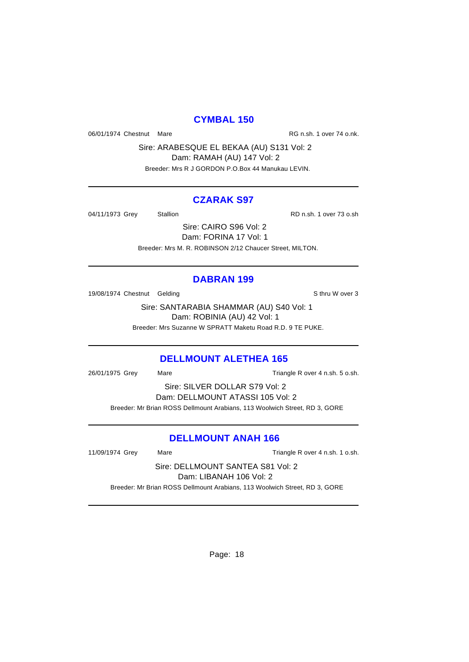#### **CYMBAL 150**

06/01/1974 Chestnut Mare **RG n.sh. 1 over 74 o.nk.** 

Sire: ARABESQUE EL BEKAA (AU) S131 Vol: 2 Dam: RAMAH (AU) 147 Vol: 2 Breeder: Mrs R J GORDON P.O.Box 44 Manukau LEVIN.

#### **CZARAK S97**

04/11/1973 Grey Stallion Stallion Stallion RD n.sh. 1 over 73 o.sh

Sire: CAIRO S96 Vol: 2 Dam: FORINA 17 Vol: 1 Breeder: Mrs M. R. ROBINSON 2/12 Chaucer Street, MILTON.

#### **DABRAN 199**

19/08/1974 Chestnut Gelding Subsettion Control of the State of Sthru W over 3

Sire: SANTARABIA SHAMMAR (AU) S40 Vol: 1 Dam: ROBINIA (AU) 42 Vol: 1 Breeder: Mrs Suzanne W SPRATT Maketu Road R.D. 9 TE PUKE.

# **DELLMOUNT ALETHEA 165**

26/01/1975 Grey Mare Mare Triangle R over 4 n.sh. 5 o.sh.

Sire: SILVER DOLLAR S79 Vol: 2 Dam: DELLMOUNT ATASSI 105 Vol: 2 Breeder: Mr Brian ROSS Dellmount Arabians, 113 Woolwich Street, RD 3, GORE

#### **DELLMOUNT ANAH 166**

11/09/1974 Grey Mare Mare Triangle R over 4 n.sh. 1 o.sh.

Sire: DELLMOUNT SANTEA S81 Vol: 2 Dam: LIBANAH 106 Vol: 2

Breeder: Mr Brian ROSS Dellmount Arabians, 113 Woolwich Street, RD 3, GORE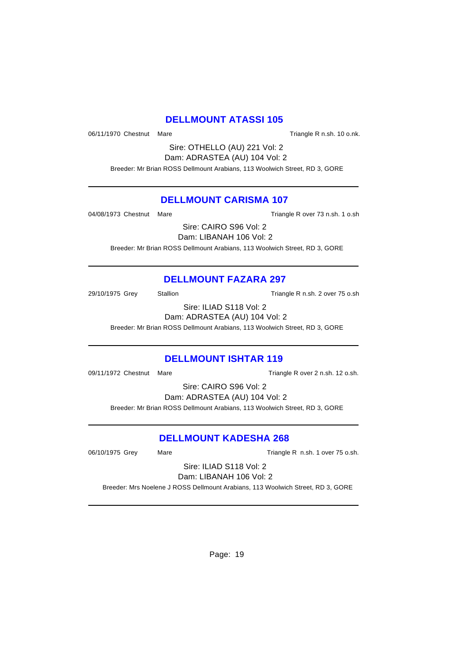#### **DELLMOUNT ATASSI 105**

06/11/1970 Chestnut Mare **Triangle R** n.sh. 10 o.nk.

Sire: OTHELLO (AU) 221 Vol: 2 Dam: ADRASTEA (AU) 104 Vol: 2

Breeder: Mr Brian ROSS Dellmount Arabians, 113 Woolwich Street, RD 3, GORE

## **DELLMOUNT CARISMA 107**

04/08/1973 Chestnut Mare Triangle R over 73 n.sh. 1 o.sh

Sire: CAIRO S96 Vol: 2 Dam: LIBANAH 106 Vol: 2

Breeder: Mr Brian ROSS Dellmount Arabians, 113 Woolwich Street, RD 3, GORE

# **DELLMOUNT FAZARA 297**

29/10/1975 Grey Stallion Stallion Triangle R n.sh. 2 over 75 o.sh

Sire: ILIAD S118 Vol: 2 Dam: ADRASTEA (AU) 104 Vol: 2

Breeder: Mr Brian ROSS Dellmount Arabians, 113 Woolwich Street, RD 3, GORE

# **DELLMOUNT ISHTAR 119**

09/11/1972 Chestnut Mare Triangle R over 2 n.sh. 12 o.sh.

Sire: CAIRO S96 Vol: 2

Dam: ADRASTEA (AU) 104 Vol: 2

Breeder: Mr Brian ROSS Dellmount Arabians, 113 Woolwich Street, RD 3, GORE

# **DELLMOUNT KADESHA 268**

06/10/1975 Grey Mare Mare Triangle R n.sh. 1 over 75 o.sh.

Sire: ILIAD S118 Vol: 2 Dam: LIBANAH 106 Vol: 2

Breeder: Mrs Noelene J ROSS Dellmount Arabians, 113 Woolwich Street, RD 3, GORE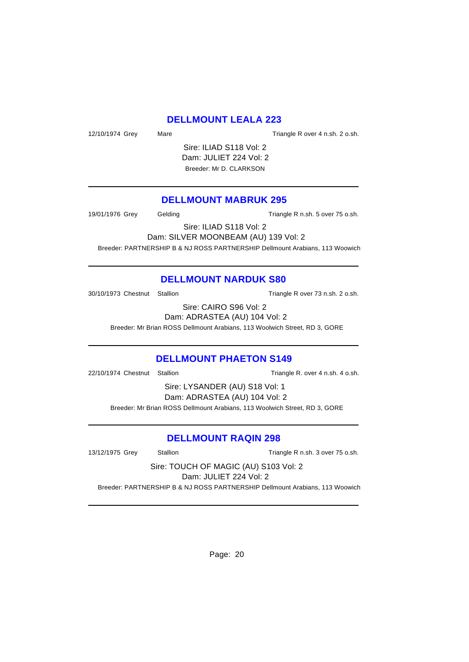## **DELLMOUNT LEALA 223**

12/10/1974 Grey Mare Mare Triangle R over 4 n.sh. 2 o.sh.

Sire: ILIAD S118 Vol: 2 Dam: JULIET 224 Vol: 2 Breeder: Mr D. CLARKSON

#### **DELLMOUNT MABRUK 295**

19/01/1976 Grey Gelding Gelding Triangle R n.sh. 5 over 75 o.sh.

Sire: ILIAD S118 Vol: 2

Dam: SILVER MOONBEAM (AU) 139 Vol: 2

Breeder: PARTNERSHIP B & NJ ROSS PARTNERSHIP Dellmount Arabians, 113 Woowich

#### **DELLMOUNT NARDUK S80**

30/10/1973 Chestnut Stallion Triangle R over 73 n.sh. 2 o.sh.

Sire: CAIRO S96 Vol: 2 Dam: ADRASTEA (AU) 104 Vol: 2

Breeder: Mr Brian ROSS Dellmount Arabians, 113 Woolwich Street, RD 3, GORE

#### **DELLMOUNT PHAETON S149**

22/10/1974 Chestnut Stallion Triangle R. over 4 n.sh. 4 o.sh.

Sire: LYSANDER (AU) S18 Vol: 1 Dam: ADRASTEA (AU) 104 Vol: 2 Breeder: Mr Brian ROSS Dellmount Arabians, 113 Woolwich Street, RD 3, GORE

#### **DELLMOUNT RAQIN 298**

13/12/1975 Grey Stallion Stallion Stallion Triangle R n.sh. 3 over 75 o.sh.

Sire: TOUCH OF MAGIC (AU) S103 Vol: 2 Dam: JULIET 224 Vol: 2

Breeder: PARTNERSHIP B & NJ ROSS PARTNERSHIP Dellmount Arabians, 113 Woowich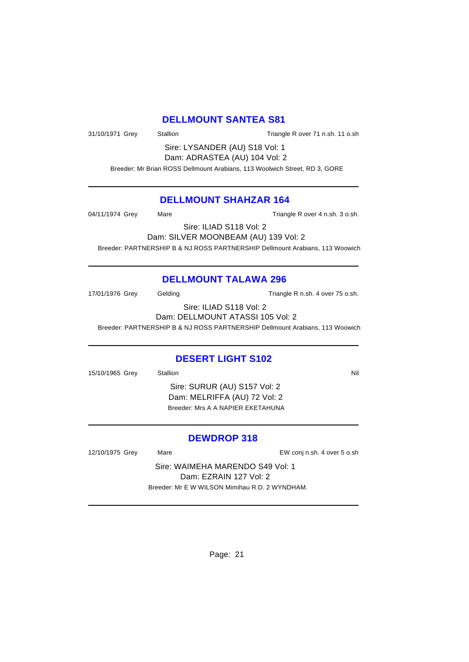#### **DELLMOUNT SANTEA S81**

31/10/1971 Grey Stallion Stallion Triangle R over 71 n.sh. 11 o.sh

Sire: LYSANDER (AU) S18 Vol: 1 Dam: ADRASTEA (AU) 104 Vol: 2

Breeder: Mr Brian ROSS Dellmount Arabians, 113 Woolwich Street, RD 3, GORE

#### **DELLMOUNT SHAHZAR 164**

04/11/1974 Grey Mare Mare Triangle R over 4 n.sh. 3 o.sh.

Sire: ILIAD S118 Vol: 2

Dam: SILVER MOONBEAM (AU) 139 Vol: 2

Breeder: PARTNERSHIP B & NJ ROSS PARTNERSHIP Dellmount Arabians, 113 Woowich

# **DELLMOUNT TALAWA 296**

17/01/1976 Grey Gelding Gelding Triangle R n.sh. 4 over 75 o.sh.

Sire: ILIAD S118 Vol: 2 Dam: DELLMOUNT ATASSI 105 Vol: 2

Breeder: PARTNERSHIP B & NJ ROSS PARTNERSHIP Dellmount Arabians, 113 Woowich

# **DESERT LIGHT S102**

15/10/1965 Grey Stallion Stallion Nil

Sire: SURUR (AU) S157 Vol: 2 Dam: MELRIFFA (AU) 72 Vol: 2 Breeder: Mrs A A NAPIER EKETAHUNA

# **DEWDROP 318**

12/10/1975 Grey Mare EW conj n.sh. 4 over 5 o.sh

Sire: WAIMEHA MARENDO S49 Vol: 1 Dam: EZRAIN 127 Vol: 2 Breeder: Mr E W WILSON Mimihau R.D. 2 WYNDHAM.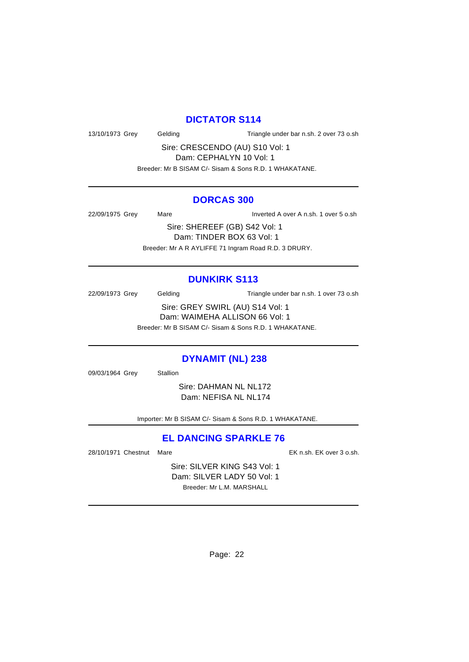# **DICTATOR S114**

13/10/1973 Grey Gelding Triangle under bar n.sh. 2 over 73 o.sh

Sire: CRESCENDO (AU) S10 Vol: 1 Dam: CEPHALYN 10 Vol: 1

Breeder: Mr B SISAM C/- Sisam & Sons R.D. 1 WHAKATANE.

#### **DORCAS 300**

22/09/1975 Grey Mare Inverted A over A n.sh. 1 over 5 o.sh

Sire: SHEREEF (GB) S42 Vol: 1 Dam: TINDER BOX 63 Vol: 1 Breeder: Mr A R AYLIFFE 71 Ingram Road R.D. 3 DRURY.

# **DUNKIRK S113**

22/09/1973 Grey Gelding Triangle under bar n.sh. 1 over 73 o.sh Sire: GREY SWIRL (AU) S14 Vol: 1 Dam: WAIMEHA ALLISON 66 Vol: 1 Breeder: Mr B SISAM C/- Sisam & Sons R.D. 1 WHAKATANE.

#### **DYNAMIT (NL) 238**

09/03/1964 Grey Stallion

Sire: DAHMAN NL NL172 Dam: NEFISA NL NL174

Importer: Mr B SISAM C/- Sisam & Sons R.D. 1 WHAKATANE.

# **EL DANCING SPARKLE 76**

28/10/1971 Chestnut Mare EK n.sh. EK over 3 o.sh.

Sire: SILVER KING S43 Vol: 1 Dam: SILVER LADY 50 Vol: 1 Breeder: Mr L.M. MARSHALL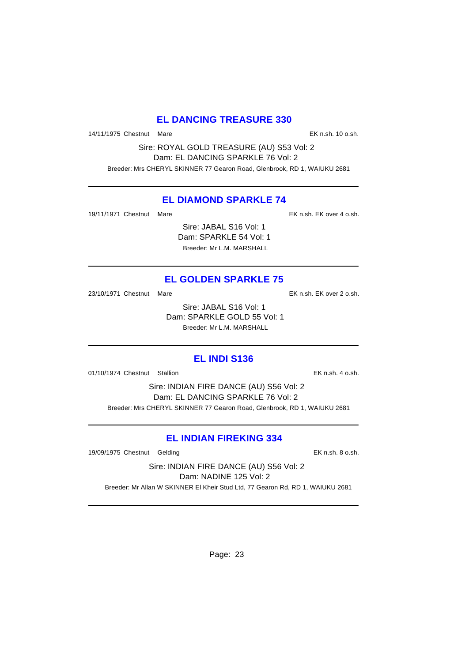# **EL DANCING TREASURE 330**

14/11/1975 Chestnut Mare EK n.sh. 10 o.sh.

Sire: ROYAL GOLD TREASURE (AU) S53 Vol: 2 Dam: EL DANCING SPARKLE 76 Vol: 2 Breeder: Mrs CHERYL SKINNER 77 Gearon Road, Glenbrook, RD 1, WAIUKU 2681

#### **EL DIAMOND SPARKLE 74**

19/11/1971 Chestnut Mare EK n.sh. EK over 4 o.sh.

Sire: JABAL S16 Vol: 1 Dam: SPARKLE 54 Vol: 1 Breeder: Mr L.M. MARSHALL

# **EL GOLDEN SPARKLE 75**

23/10/1971 Chestnut Mare **EX n.sh. EK over 2 o.sh.** 

Sire: JABAL S16 Vol: 1 Dam: SPARKLE GOLD 55 Vol: 1 Breeder: Mr L.M. MARSHALL

#### **EL INDI S136**

01/10/1974 Chestnut Stallion EK n.sh. 4 o.sh.

Sire: INDIAN FIRE DANCE (AU) S56 Vol: 2 Dam: EL DANCING SPARKLE 76 Vol: 2 Breeder: Mrs CHERYL SKINNER 77 Gearon Road, Glenbrook, RD 1, WAIUKU 2681

# **EL INDIAN FIREKING 334**

19/09/1975 Chestnut Gelding The State of the EK n.sh. 8 o.sh.

Sire: INDIAN FIRE DANCE (AU) S56 Vol: 2 Dam: NADINE 125 Vol: 2

Breeder: Mr Allan W SKINNER El Kheir Stud Ltd, 77 Gearon Rd, RD 1, WAIUKU 2681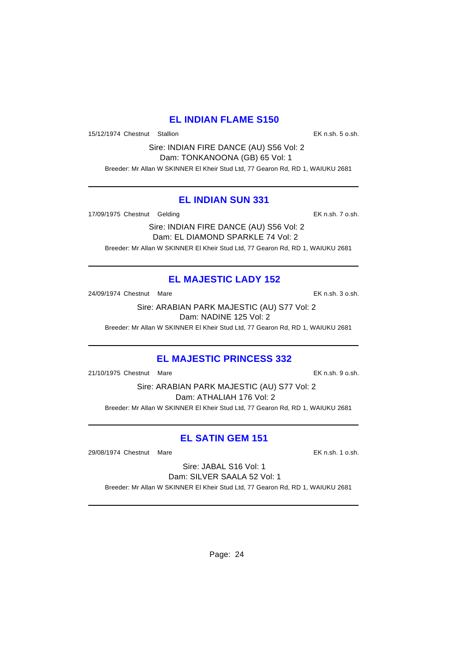# **EL INDIAN FLAME S150**

15/12/1974 Chestnut Stallion EK n.sh. 5 o.sh.

Sire: INDIAN FIRE DANCE (AU) S56 Vol: 2 Dam: TONKANOONA (GB) 65 Vol: 1

Breeder: Mr Allan W SKINNER El Kheir Stud Ltd, 77 Gearon Rd, RD 1, WAIUKU 2681

#### **EL INDIAN SUN 331**

17/09/1975 Chestnut Gelding Execution of the EK n.sh. 7 o.sh.

Sire: INDIAN FIRE DANCE (AU) S56 Vol: 2 Dam: EL DIAMOND SPARKLE 74 Vol: 2 Breeder: Mr Allan W SKINNER El Kheir Stud Ltd, 77 Gearon Rd, RD 1, WAIUKU 2681

# **EL MAJESTIC LADY 152**

24/09/1974 Chestnut Mare EK n.sh. 3 o.sh.

Sire: ARABIAN PARK MAJESTIC (AU) S77 Vol: 2 Dam: NADINE 125 Vol: 2

Breeder: Mr Allan W SKINNER El Kheir Stud Ltd, 77 Gearon Rd, RD 1, WAIUKU 2681

# **EL MAJESTIC PRINCESS 332**

21/10/1975 Chestnut Mare EK n.sh. 9 o.sh.

Sire: ARABIAN PARK MAJESTIC (AU) S77 Vol: 2 Dam: ATHALIAH 176 Vol: 2 Breeder: Mr Allan W SKINNER El Kheir Stud Ltd, 77 Gearon Rd, RD 1, WAIUKU 2681

# **EL SATIN GEM 151**

29/08/1974 Chestnut Mare EK n.sh. 1 o.sh.

Sire: JABAL S16 Vol: 1 Dam: SILVER SAALA 52 Vol: 1 Breeder: Mr Allan W SKINNER El Kheir Stud Ltd, 77 Gearon Rd, RD 1, WAIUKU 2681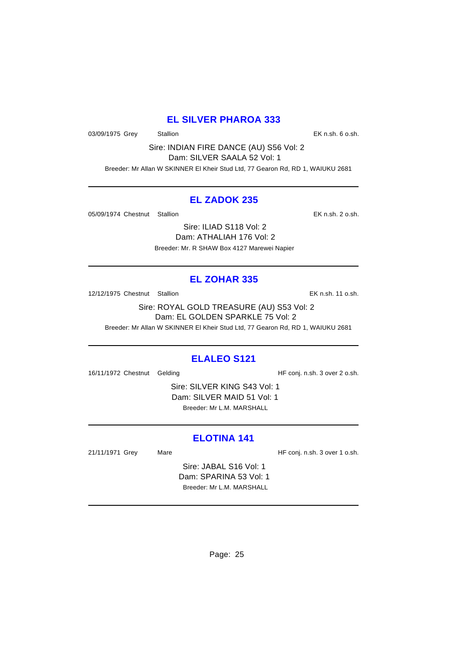# **EL SILVER PHAROA 333**

03/09/1975 Grey Stallion States Controller States Controller States EK n.sh. 6 o.sh.

Sire: INDIAN FIRE DANCE (AU) S56 Vol: 2 Dam: SILVER SAALA 52 Vol: 1

Breeder: Mr Allan W SKINNER El Kheir Stud Ltd, 77 Gearon Rd, RD 1, WAIUKU 2681

# **EL ZADOK 235**

05/09/1974 Chestnut Stallion EK n.sh. 2 o.sh.

Sire: ILIAD S118 Vol: 2 Dam: ATHALIAH 176 Vol: 2 Breeder: Mr. R SHAW Box 4127 Marewei Napier

# **EL ZOHAR 335**

12/12/1975 Chestnut Stallion EK n.sh. 11 o.sh.

Sire: ROYAL GOLD TREASURE (AU) S53 Vol: 2 Dam: EL GOLDEN SPARKLE 75 Vol: 2 Breeder: Mr Allan W SKINNER El Kheir Stud Ltd, 77 Gearon Rd, RD 1, WAIUKU 2681

# **ELALEO S121**

16/11/1972 Chestnut Gelding The State of HF conj. n.sh. 3 over 2 o.sh.

Sire: SILVER KING S43 Vol: 1 Dam: SILVER MAID 51 Vol: 1 Breeder: Mr L.M. MARSHALL

# **ELOTINA 141**

21/11/1971 Grey Mare Mare HF conj. n.sh. 3 over 1 o.sh.

Sire: JABAL S16 Vol: 1 Dam: SPARINA 53 Vol: 1 Breeder: Mr L.M. MARSHALL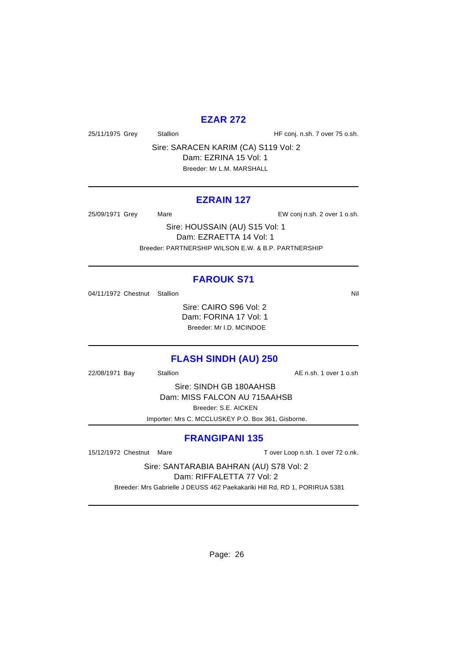## **EZAR 272**

25/11/1975 Grey Stallion Stallion State HF conj. n.sh. 7 over 75 o.sh.

Sire: SARACEN KARIM (CA) S119 Vol: 2 Dam: EZRINA 15 Vol: 1 Breeder: Mr L.M. MARSHALL

#### **EZRAIN 127**

25/09/1971 Grey Mare EW conj n.sh. 2 over 1 o.sh.

Sire: HOUSSAIN (AU) S15 Vol: 1 Dam: EZRAETTA 14 Vol: 1 Breeder: PARTNERSHIP WILSON E.W. & B.P. PARTNERSHIP

#### **FAROUK S71**

04/11/1972 Chestnut Stallion Nil

Sire: CAIRO S96 Vol: 2 Dam: FORINA 17 Vol: 1 Breeder: Mr I.D. MCINDOE

#### **FLASH SINDH (AU) 250**

22/08/1971 Bay Stallion Stallion AE n.sh. 1 over 1 o.sh

Sire: SINDH GB 180AAHSB Dam: MISS FALCON AU 715AAHSB Breeder: S.E. AICKEN

Importer: Mrs C. MCCLUSKEY P.O. Box 361, Gisborne.

#### **FRANGIPANI 135**

15/12/1972 Chestnut Mare T over Loop n.sh. 1 over 72 o.nk.

Sire: SANTARABIA BAHRAN (AU) S78 Vol: 2

Dam: RIFFALETTA 77 Vol: 2

Breeder: Mrs Gabrielle J DEUSS 462 Paekakariki Hill Rd, RD 1, PORIRUA 5381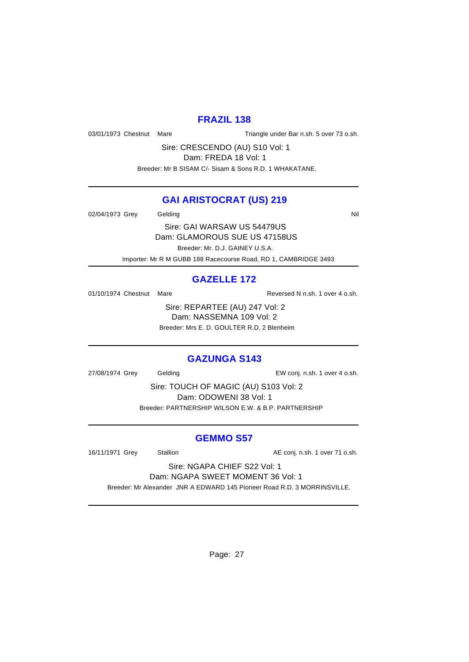#### **FRAZIL 138**

03/01/1973 Chestnut Mare Triangle under Bar n.sh. 5 over 73 o.sh.

Sire: CRESCENDO (AU) S10 Vol: 1 Dam: FREDA 18 Vol: 1

Breeder: Mr B SISAM C/- Sisam & Sons R.D. 1 WHAKATANE.

# **GAI ARISTOCRAT (US) 219**

02/04/1973 Grey Gelding Care Contact Contact Contact Contact Contact Contact Contact Contact Contact Contact Co

Sire: GAI WARSAW US 54479US Dam: GLAMOROUS SUE US 47158US Breeder: Mr. D.J. GAINEY U.S.A.

Importer: Mr R M GUBB 188 Racecourse Road, RD 1, CAMBRIDGE 3493

# **GAZELLE 172**

01/10/1974 Chestnut Mare Reversed N n.sh. 1 over 4 o.sh.

Sire: REPARTEE (AU) 247 Vol: 2 Dam: NASSEMNA 109 Vol: 2 Breeder: Mrs E. D. GOULTER R.D. 2 Blenheim

# **GAZUNGA S143**

27/08/1974 Grey Gelding EW conj. n.sh. 1 over 4 o.sh.

Sire: TOUCH OF MAGIC (AU) S103 Vol: 2 Dam: ODOWENI 38 Vol: 1 Breeder: PARTNERSHIP WILSON E.W. & B.P. PARTNERSHIP

#### **GEMMO S57**

16/11/1971 Grey Stallion Stallion AE conj. n.sh. 1 over 71 o.sh.

Sire: NGAPA CHIEF S22 Vol: 1 Dam: NGAPA SWEET MOMENT 36 Vol: 1

Breeder: Mr Alexander JNR A EDWARD 145 Pioneer Road R.D. 3 MORRINSVILLE.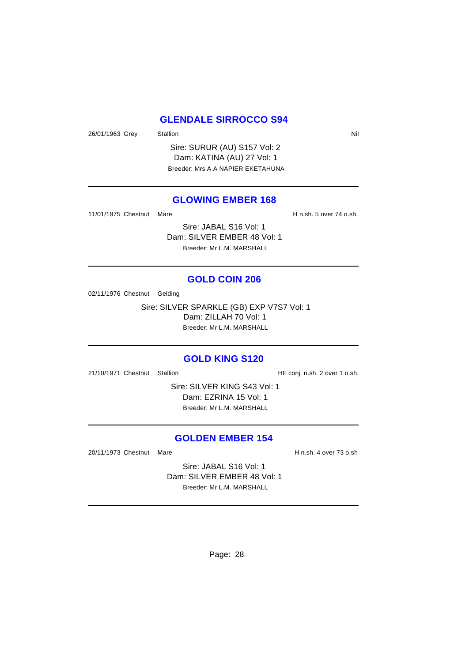# **GLENDALE SIRROCCO S94**

26/01/1963 Grey Stallion Station Nil

Sire: SURUR (AU) S157 Vol: 2 Dam: KATINA (AU) 27 Vol: 1 Breeder: Mrs A A NAPIER EKETAHUNA

#### **GLOWING EMBER 168**

11/01/1975 Chestnut Mare **H** n.sh. 5 over 74 o.sh.

Sire: JABAL S16 Vol: 1 Dam: SILVER EMBER 48 Vol: 1 Breeder: Mr L.M. MARSHALL

#### **GOLD COIN 206**

02/11/1976 Chestnut Gelding

Sire: SILVER SPARKLE (GB) EXP V7S7 Vol: 1 Dam: ZILLAH 70 Vol: 1 Breeder: Mr L.M. MARSHALL

#### **GOLD KING S120**

21/10/1971 Chestnut Stallion HF conj. n.sh. 2 over 1 o.sh.

Sire: SILVER KING S43 Vol: 1 Dam: EZRINA 15 Vol: 1 Breeder: Mr L.M. MARSHALL

#### **GOLDEN EMBER 154**

20/11/1973 Chestnut Mare **H** n.sh. 4 over 73 o.sh

Sire: JABAL S16 Vol: 1 Dam: SILVER EMBER 48 Vol: 1 Breeder: Mr L.M. MARSHALL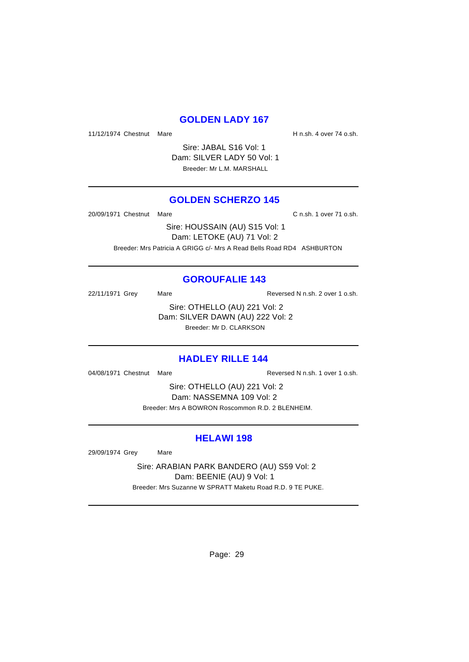#### **GOLDEN LADY 167**

11/12/1974 Chestnut Mare **H** n.sh. 4 over 74 o.sh.

Sire: JABAL S16 Vol: 1 Dam: SILVER LADY 50 Vol: 1 Breeder: Mr L.M. MARSHALL

#### **GOLDEN SCHERZO 145**

20/09/1971 Chestnut Mare C n.sh. 1 over 71 o.sh.

Sire: HOUSSAIN (AU) S15 Vol: 1 Dam: LETOKE (AU) 71 Vol: 2 Breeder: Mrs Patricia A GRIGG c/- Mrs A Read Bells Road RD4 ASHBURTON

#### **GOROUFALIE 143**

22/11/1971 Grey Mare Mare Reversed N n.sh. 2 over 1 o.sh.

Sire: OTHELLO (AU) 221 Vol: 2 Dam: SILVER DAWN (AU) 222 Vol: 2 Breeder: Mr D. CLARKSON

#### **HADLEY RILLE 144**

04/08/1971 Chestnut Mare **Reversed N n.sh.** 1 over 1 o.sh.

Sire: OTHELLO (AU) 221 Vol: 2 Dam: NASSEMNA 109 Vol: 2 Breeder: Mrs A BOWRON Roscommon R.D. 2 BLENHEIM.

# **HELAWI 198**

29/09/1974 Grey Mare

Sire: ARABIAN PARK BANDERO (AU) S59 Vol: 2 Dam: BEENIE (AU) 9 Vol: 1 Breeder: Mrs Suzanne W SPRATT Maketu Road R.D. 9 TE PUKE.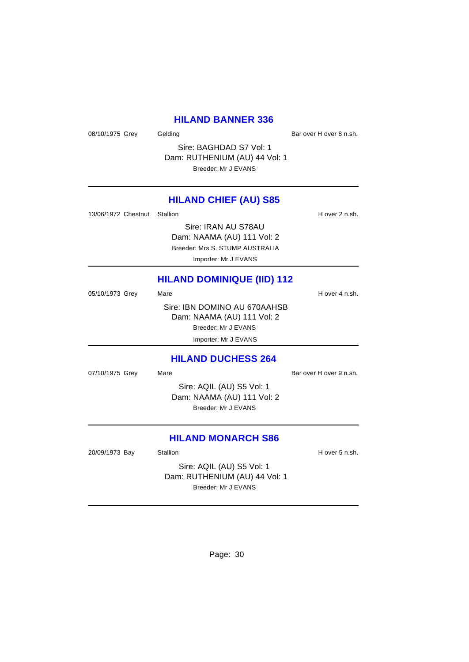#### **HILAND BANNER 336**

08/10/1975 Grey Gelding Gelding Bar over H over 8 n.sh.

Sire: BAGHDAD S7 Vol: 1 Dam: RUTHENIUM (AU) 44 Vol: 1 Breeder: Mr J EVANS

#### **HILAND CHIEF (AU) S85**

13/06/1972 Chestnut Stallion **H** over 2 n.sh.

Sire: IRAN AU S78AU Dam: NAAMA (AU) 111 Vol: 2 Breeder: Mrs S. STUMP AUSTRALIA Importer: Mr J EVANS

# **HILAND DOMINIQUE (IID) 112**

|                 | <b>HILAND DUCHESS 264</b>    |                |  |
|-----------------|------------------------------|----------------|--|
|                 | Importer: Mr J EVANS         |                |  |
|                 | Breeder: Mr J EVANS          |                |  |
|                 | Dam: NAAMA (AU) 111 Vol: 2   |                |  |
|                 | Sire: IBN DOMINO AU 670AAHSB |                |  |
| 05/10/1973 Grey | Mare                         | H over 4 n.sh. |  |

07/10/1975 Grey Mare Mare Bar over H over 9 n.sh.

Sire: AQIL (AU) S5 Vol: 1 Dam: NAAMA (AU) 111 Vol: 2 Breeder: Mr J EVANS

#### **HILAND MONARCH S86**

20/09/1973 Bay Stallion Stallion State State State State State State State State State State State State State

Sire: AQIL (AU) S5 Vol: 1 Dam: RUTHENIUM (AU) 44 Vol: 1 Breeder: Mr J EVANS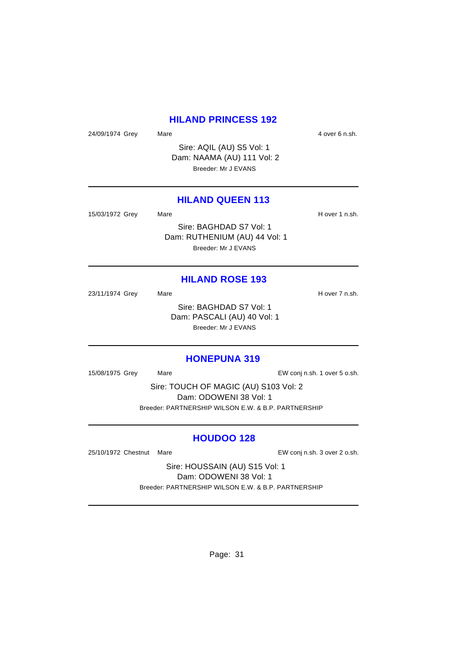#### **HILAND PRINCESS 192**

24/09/1974 Grey Mare Mare 4 over 6 n.sh.

Sire: AQIL (AU) S5 Vol: 1 Dam: NAAMA (AU) 111 Vol: 2 Breeder: Mr J EVANS

#### **HILAND QUEEN 113**

15/03/1972 Grey Mare Mare H over 1 n.sh. Sire: BAGHDAD S7 Vol: 1 Dam: RUTHENIUM (AU) 44 Vol: 1 Breeder: Mr J EVANS

# **HILAND ROSE 193**

23/11/1974 Grey Mare Mare H over 7 n.sh. Sire: BAGHDAD S7 Vol: 1 Dam: PASCALI (AU) 40 Vol: 1

Breeder: Mr J EVANS

#### **HONEPUNA 319**

15/08/1975 Grey Mare Mare EW conj n.sh. 1 over 5 o.sh.

Sire: TOUCH OF MAGIC (AU) S103 Vol: 2 Dam: ODOWENI 38 Vol: 1 Breeder: PARTNERSHIP WILSON E.W. & B.P. PARTNERSHIP

#### **HOUDOO 128**

25/10/1972 Chestnut Mare **EW** conj n.sh. 3 over 2 o.sh.

Sire: HOUSSAIN (AU) S15 Vol: 1 Dam: ODOWENI 38 Vol: 1 Breeder: PARTNERSHIP WILSON E.W. & B.P. PARTNERSHIP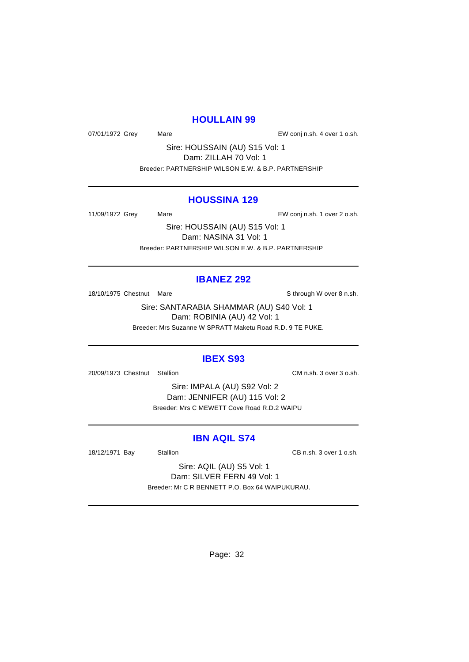#### **HOULLAIN 99**

07/01/1972 Grey Mare Mare EW conj n.sh. 4 over 1 o.sh.

Sire: HOUSSAIN (AU) S15 Vol: 1 Dam: ZILLAH 70 Vol: 1 Breeder: PARTNERSHIP WILSON E.W. & B.P. PARTNERSHIP

#### **HOUSSINA 129**

11/09/1972 Grey Mare Mare EW conj n.sh. 1 over 2 o.sh.

Sire: HOUSSAIN (AU) S15 Vol: 1 Dam: NASINA 31 Vol: 1 Breeder: PARTNERSHIP WILSON E.W. & B.P. PARTNERSHIP

#### **IBANEZ 292**

18/10/1975 Chestnut Mare State of the State of State of State of State of State of State of State of State of State of State of State of State of State of State of State of State of State of State of State of State of Stat

Sire: SANTARABIA SHAMMAR (AU) S40 Vol: 1 Dam: ROBINIA (AU) 42 Vol: 1 Breeder: Mrs Suzanne W SPRATT Maketu Road R.D. 9 TE PUKE.

#### **IBEX S93**

20/09/1973 Chestnut Stallion CM n.sh. 3 over 3 o.sh.

Sire: IMPALA (AU) S92 Vol: 2 Dam: JENNIFER (AU) 115 Vol: 2 Breeder: Mrs C MEWETT Cove Road R.D.2 WAIPU

#### **IBN AQIL S74**

18/12/1971 Bay Stallion CB n.sh. 3 over 1 o.sh.

Sire: AQIL (AU) S5 Vol: 1 Dam: SILVER FERN 49 Vol: 1 Breeder: Mr C R BENNETT P.O. Box 64 WAIPUKURAU.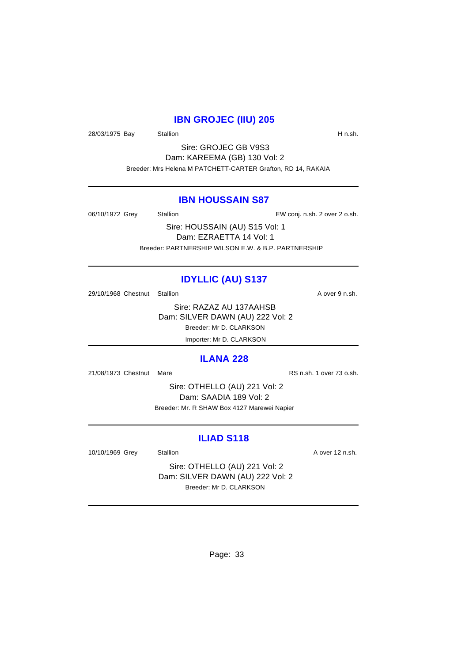# **IBN GROJEC (IIU) 205**

28/03/1975 Bay Stallion Station H n.sh.

Sire: GROJEC GB V9S3 Dam: KAREEMA (GB) 130 Vol: 2 Breeder: Mrs Helena M PATCHETT-CARTER Grafton, RD 14, RAKAIA

#### **IBN HOUSSAIN S87**

06/10/1972 Grey Stallion Stallion EW conj. n.sh. 2 over 2 o.sh.

Sire: HOUSSAIN (AU) S15 Vol: 1 Dam: EZRAETTA 14 Vol: 1 Breeder: PARTNERSHIP WILSON E.W. & B.P. PARTNERSHIP

# **IDYLLIC (AU) S137**

29/10/1968 Chestnut Stallion A over 9 n.sh.

Sire: RAZAZ AU 137AAHSB Dam: SILVER DAWN (AU) 222 Vol: 2 Breeder: Mr D. CLARKSON Importer: Mr D. CLARKSON

#### **ILANA 228**

21/08/1973 Chestnut Mare **RS n.sh. 1** over 73 o.sh.

Sire: OTHELLO (AU) 221 Vol: 2 Dam: SAADIA 189 Vol: 2 Breeder: Mr. R SHAW Box 4127 Marewei Napier

#### **ILIAD S118**

10/10/1969 Grey Stallion Stallion State A over 12 n.sh.

Sire: OTHELLO (AU) 221 Vol: 2 Dam: SILVER DAWN (AU) 222 Vol: 2 Breeder: Mr D. CLARKSON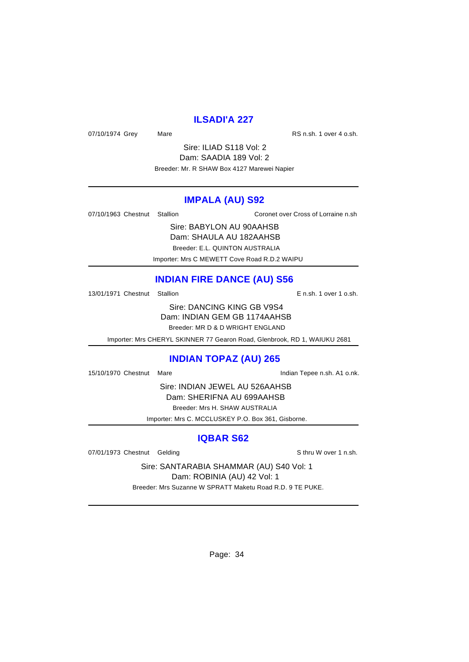## **ILSADI'A 227**

07/10/1974 Grey Mare Mare RS n.sh. 1 over 4 o.sh.

Sire: ILIAD S118 Vol: 2 Dam: SAADIA 189 Vol: 2 Breeder: Mr. R SHAW Box 4127 Marewei Napier

#### **IMPALA (AU) S92**

07/10/1963 Chestnut Stallion Coronet over Cross of Lorraine n.sh

Sire: BABYLON AU 90AAHSB Dam: SHAULA AU 182AAHSB Breeder: E.L. QUINTON AUSTRALIA

Importer: Mrs C MEWETT Cove Road R.D.2 WAIPU

# **INDIAN FIRE DANCE (AU) S56**

13/01/1971 Chestnut Stallion E n.sh. 1 over 1 o.sh.

Sire: DANCING KING GB V9S4 Dam: INDIAN GEM GB 1174AAHSB Breeder: MR D & D WRIGHT ENGLAND

Importer: Mrs CHERYL SKINNER 77 Gearon Road, Glenbrook, RD 1, WAIUKU 2681

# **INDIAN TOPAZ (AU) 265**

15/10/1970 Chestnut Mare **Indian Tepee n.sh. A1 o.nk.** 

Sire: INDIAN JEWEL AU 526AAHSB Dam: SHERIFNA AU 699AAHSB Breeder: Mrs H. SHAW AUSTRALIA

Importer: Mrs C. MCCLUSKEY P.O. Box 361, Gisborne.

**IQBAR S62**

07/01/1973 Chestnut Gelding S thru W over 1 n.sh.

Sire: SANTARABIA SHAMMAR (AU) S40 Vol: 1 Dam: ROBINIA (AU) 42 Vol: 1

Breeder: Mrs Suzanne W SPRATT Maketu Road R.D. 9 TE PUKE.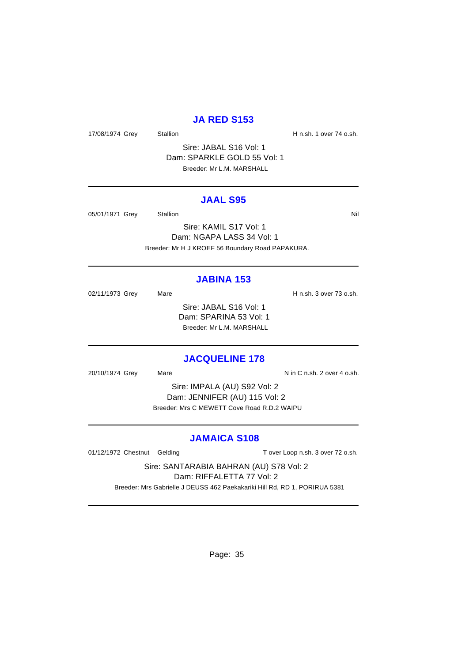#### **JA RED S153**

17/08/1974 Grey Stallion Stallion State State H n.sh. 1 over 74 o.sh.

Sire: JABAL S16 Vol: 1 Dam: SPARKLE GOLD 55 Vol: 1 Breeder: Mr L.M. MARSHALL

#### **JAAL S95**

05/01/1971 Grey Stallion States and States and States and States and Nil

Sire: KAMIL S17 Vol: 1 Dam: NGAPA LASS 34 Vol: 1 Breeder: Mr H J KROEF 56 Boundary Road PAPAKURA.

#### **JABINA 153**

02/11/1973 Grey Mare Mare H n.sh. 3 over 73 o.sh. Sire: JABAL S16 Vol: 1 Dam: SPARINA 53 Vol: 1 Breeder: Mr L.M. MARSHALL

#### **JACQUELINE 178**

20/10/1974 Grey Mare Mare Nin C n.sh. 2 over 4 o.sh.

Sire: IMPALA (AU) S92 Vol: 2 Dam: JENNIFER (AU) 115 Vol: 2 Breeder: Mrs C MEWETT Cove Road R.D.2 WAIPU

#### **JAMAICA S108**

01/12/1972 Chestnut Gelding T over Loop n.sh. 3 over 72 o.sh.

Sire: SANTARABIA BAHRAN (AU) S78 Vol: 2 Dam: RIFFALETTA 77 Vol: 2

Breeder: Mrs Gabrielle J DEUSS 462 Paekakariki Hill Rd, RD 1, PORIRUA 5381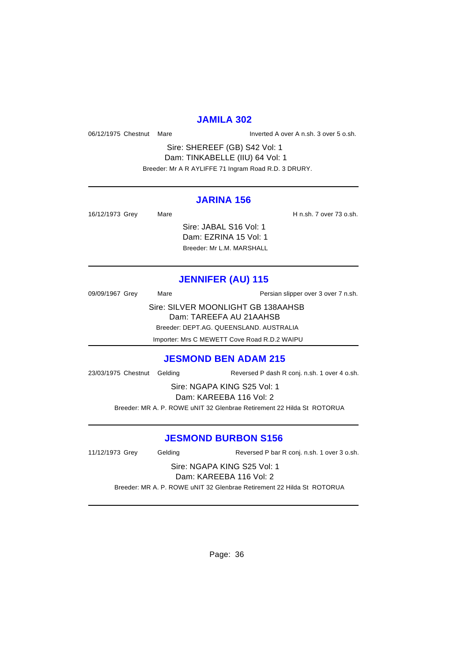#### **JAMILA 302**

06/12/1975 Chestnut Mare Inverted A over A n.sh. 3 over 5 o.sh.

Sire: SHEREEF (GB) S42 Vol: 1 Dam: TINKABELLE (IIU) 64 Vol: 1 Breeder: Mr A R AYLIFFE 71 Ingram Road R.D. 3 DRURY.

#### **JARINA 156**

| 16/12/1973 Grey | Mare |                                                 | H n.sh. 7 over 73 o.sh. |
|-----------------|------|-------------------------------------------------|-------------------------|
|                 |      | Sire: JABAL S16 Vol: 1<br>Dam: EZRINA 15 Vol: 1 |                         |
|                 |      | Breeder: Mr L.M. MARSHALL                       |                         |

# **JENNIFER (AU) 115**

| 09/09/1967 Grey | Mare | Persian slipper over 3 over 7 n.sh. |
|-----------------|------|-------------------------------------|
|                 |      | Sire: SILVER MOONLIGHT GB 138AAHSB  |
|                 |      | Dam: TAREEFA AU 21AAHSB             |

Breeder: DEPT.AG. QUEENSLAND. AUSTRALIA

Importer: Mrs C MEWETT Cove Road R.D.2 WAIPU

#### **JESMOND BEN ADAM 215**

23/03/1975 Chestnut Gelding Reversed P dash R conj. n.sh. 1 over 4 o.sh.

Sire: NGAPA KING S25 Vol: 1 Dam: KAREEBA 116 Vol: 2

Breeder: MR A. P. ROWE uNIT 32 Glenbrae Retirement 22 Hilda St ROTORUA

#### **JESMOND BURBON S156**

11/12/1973 Grey Gelding Reversed P bar R conj. n.sh. 1 over 3 o.sh.

Sire: NGAPA KING S25 Vol: 1 Dam: KAREEBA 116 Vol: 2

Breeder: MR A. P. ROWE uNIT 32 Glenbrae Retirement 22 Hilda St ROTORUA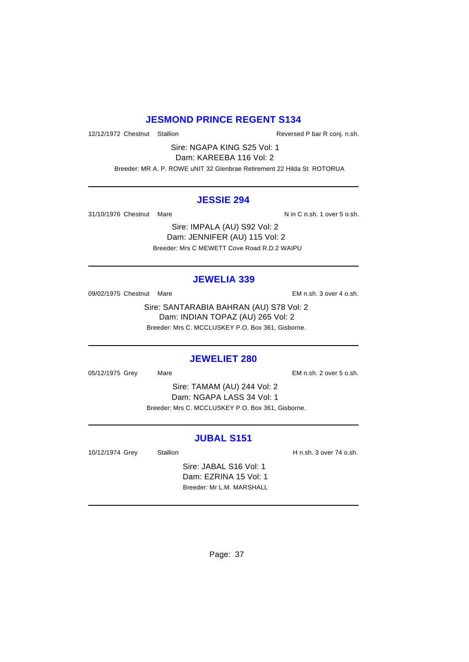### **JESMOND PRINCE REGENT S134**

12/12/1972 Chestnut Stallion Reversed P bar R conj. n.sh.

Sire: NGAPA KING S25 Vol: 1 Dam: KAREEBA 116 Vol: 2

Breeder: MR A. P. ROWE uNIT 32 Glenbrae Retirement 22 Hilda St ROTORUA

#### **JESSIE 294**

31/10/1976 Chestnut Mare  $N$  in C n.sh. 1 over 5 o.sh.

Sire: IMPALA (AU) S92 Vol: 2 Dam: JENNIFER (AU) 115 Vol: 2 Breeder: Mrs C MEWETT Cove Road R.D.2 WAIPU

### **JEWELIA 339**

09/02/1975 Chestnut Mare **EM** n.sh. 3 over 4 o.sh.

Sire: SANTARABIA BAHRAN (AU) S78 Vol: 2 Dam: INDIAN TOPAZ (AU) 265 Vol: 2 Breeder: Mrs C. MCCLUSKEY P.O. Box 361, Gisborne.

### **JEWELIET 280**

05/12/1975 Grey Mare Mare EM n.sh. 2 over 5 o.sh.

Sire: TAMAM (AU) 244 Vol: 2 Dam: NGAPA LASS 34 Vol: 1 Breeder: Mrs C. MCCLUSKEY P.O. Box 361, Gisborne.

### **JUBAL S151**

10/12/1974 Grey Stallion Stallion Stallion H n.sh. 3 over 74 o.sh.

Sire: JABAL S16 Vol: 1 Dam: EZRINA 15 Vol: 1 Breeder: Mr L.M. MARSHALL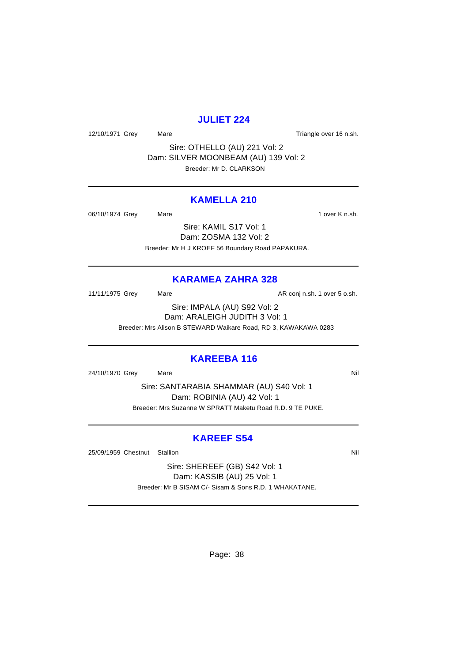### **JULIET 224**

12/10/1971 Grey Mare Mare Triangle over 16 n.sh.

Sire: OTHELLO (AU) 221 Vol: 2 Dam: SILVER MOONBEAM (AU) 139 Vol: 2 Breeder: Mr D. CLARKSON

### **KAMELLA 210**

06/10/1974 Grey Mare 1 over K n.sh.

Sire: KAMIL S17 Vol: 1 Dam: ZOSMA 132 Vol: 2 Breeder: Mr H J KROEF 56 Boundary Road PAPAKURA.

### **KARAMEA ZAHRA 328**

11/11/1975 Grey Mare Mare AR conj n.sh. 1 over 5 o.sh.

Sire: IMPALA (AU) S92 Vol: 2 Dam: ARALEIGH JUDITH 3 Vol: 1 Breeder: Mrs Alison B STEWARD Waikare Road, RD 3, KAWAKAWA 0283

#### **KAREEBA 116**

24/10/1970 Grey Mare National Assembly Market Market Market Market Market Market Market Market Market Market M

Sire: SANTARABIA SHAMMAR (AU) S40 Vol: 1 Dam: ROBINIA (AU) 42 Vol: 1 Breeder: Mrs Suzanne W SPRATT Maketu Road R.D. 9 TE PUKE.

### **KAREEF S54**

25/09/1959 Chestnut Stallion Nill and State of the Nill and State of Nill and State of Nill and State of Nill

Sire: SHEREEF (GB) S42 Vol: 1 Dam: KASSIB (AU) 25 Vol: 1 Breeder: Mr B SISAM C/- Sisam & Sons R.D. 1 WHAKATANE.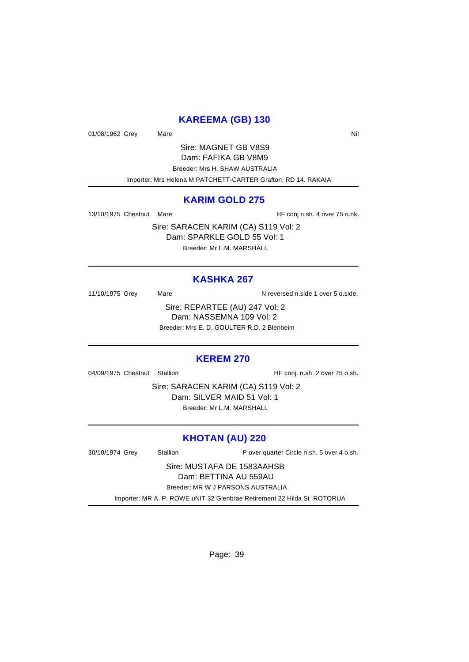### **KAREEMA (GB) 130**

01/08/1962 Grey Mare Nil

Sire: MAGNET GB V8S9 Dam: FAFIKA GB V8M9 Breeder: Mrs H. SHAW AUSTRALIA Importer: Mrs Helena M PATCHETT-CARTER Grafton, RD 14, RAKAIA

#### **KARIM GOLD 275**

13/10/1975 Chestnut Mare **HF** conj n.sh. 4 over 75 o.nk.

Sire: SARACEN KARIM (CA) S119 Vol: 2 Dam: SPARKLE GOLD 55 Vol: 1 Breeder: Mr L.M. MARSHALL

### **KASHKA 267**

11/10/1975 Grey Mare Mare N reversed n.side 1 over 5 o.side.

Sire: REPARTEE (AU) 247 Vol: 2 Dam: NASSEMNA 109 Vol: 2 Breeder: Mrs E. D. GOULTER R.D. 2 Blenheim

### **KEREM 270**

04/09/1975 Chestnut Stallion HF conj. n.sh. 2 over 75 o.sh.

Sire: SARACEN KARIM (CA) S119 Vol: 2 Dam: SILVER MAID 51 Vol: 1 Breeder: Mr L.M. MARSHALL

### **KHOTAN (AU) 220**

30/10/1974 Grey Stallion P over quarter Circle n.sh. 5 over 4 o.sh. Sire: MUSTAFA DE 1583AAHSB

Dam: BETTINA AU 559AU

Breeder: MR W J PARSONS AUSTRALIA

Importer: MR A. P. ROWE uNIT 32 Glenbrae Retirement 22 Hilda St ROTORUA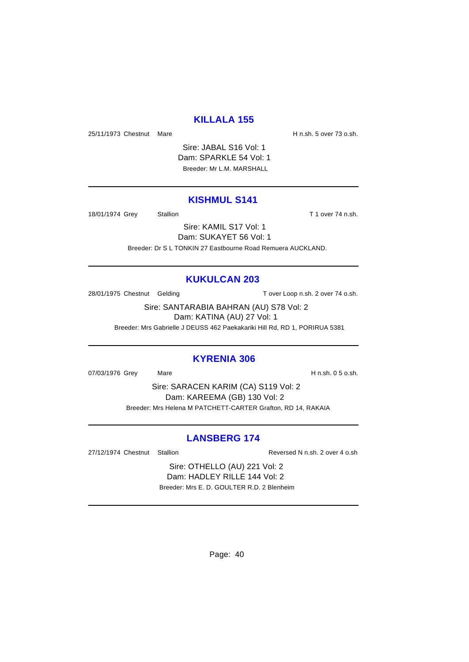### **KILLALA 155**

25/11/1973 Chestnut Mare **H** n.sh. 5 over 73 o.sh.

Sire: JABAL S16 Vol: 1 Dam: SPARKLE 54 Vol: 1 Breeder: Mr L.M. MARSHALL

### **KISHMUL S141**

18/01/1974 Grey Stallion Stallion State of T1 over 74 n.sh.

Sire: KAMIL S17 Vol: 1 Dam: SUKAYET 56 Vol: 1 Breeder: Dr S L TONKIN 27 Eastbourne Road Remuera AUCKLAND.

### **KUKULCAN 203**

28/01/1975 Chestnut Gelding Tover Loop n.sh. 2 over 74 o.sh.

Sire: SANTARABIA BAHRAN (AU) S78 Vol: 2 Dam: KATINA (AU) 27 Vol: 1

Breeder: Mrs Gabrielle J DEUSS 462 Paekakariki Hill Rd, RD 1, PORIRUA 5381

### **KYRENIA 306**

07/03/1976 Grey Mare Mare H n.sh. 0 5 o.sh.

Sire: SARACEN KARIM (CA) S119 Vol: 2 Dam: KAREEMA (GB) 130 Vol: 2 Breeder: Mrs Helena M PATCHETT-CARTER Grafton, RD 14, RAKAIA

### **LANSBERG 174**

27/12/1974 Chestnut Stallion Reversed N n.sh. 2 over 4 o.sh

Sire: OTHELLO (AU) 221 Vol: 2 Dam: HADLEY RILLE 144 Vol: 2 Breeder: Mrs E. D. GOULTER R.D. 2 Blenheim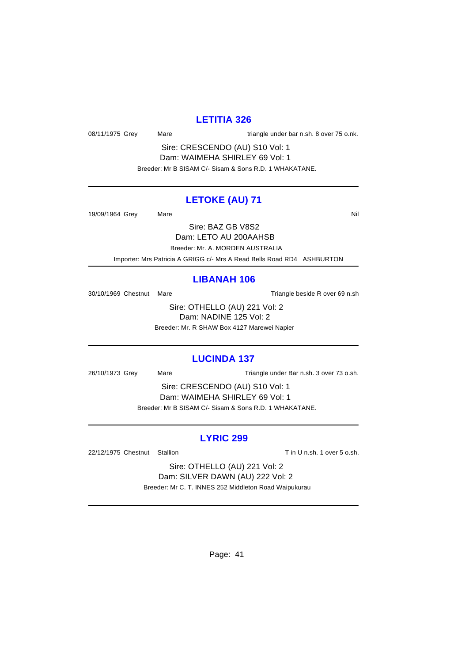### **LETITIA 326**

08/11/1975 Grey Mare 108/11/1975 Grey Mare

Sire: CRESCENDO (AU) S10 Vol: 1 Dam: WAIMEHA SHIRLEY 69 Vol: 1 Breeder: Mr B SISAM C/- Sisam & Sons R.D. 1 WHAKATANE.

### **LETOKE (AU) 71**

19/09/1964 Grey Mare National Markets and Markets and Markets and Markets and Markets and Markets and Markets

Sire: BAZ GB V8S2

Dam: LETO AU 200AAHSB

Breeder: Mr. A. MORDEN AUSTRALIA

Importer: Mrs Patricia A GRIGG c/- Mrs A Read Bells Road RD4 ASHBURTON

### **LIBANAH 106**

30/10/1969 Chestnut Mare Triangle beside R over 69 n.sh

Sire: OTHELLO (AU) 221 Vol: 2 Dam: NADINE 125 Vol: 2 Breeder: Mr. R SHAW Box 4127 Marewei Napier

### **LUCINDA 137**

26/10/1973 Grey Mare Mare Triangle under Bar n.sh. 3 over 73 o.sh.

Sire: CRESCENDO (AU) S10 Vol: 1 Dam: WAIMEHA SHIRLEY 69 Vol: 1 Breeder: Mr B SISAM C/- Sisam & Sons R.D. 1 WHAKATANE.

### **LYRIC 299**

22/12/1975 Chestnut Stallion The State of Tin U n.sh. 1 over 5 o.sh.

Sire: OTHELLO (AU) 221 Vol: 2 Dam: SILVER DAWN (AU) 222 Vol: 2 Breeder: Mr C. T. INNES 252 Middleton Road Waipukurau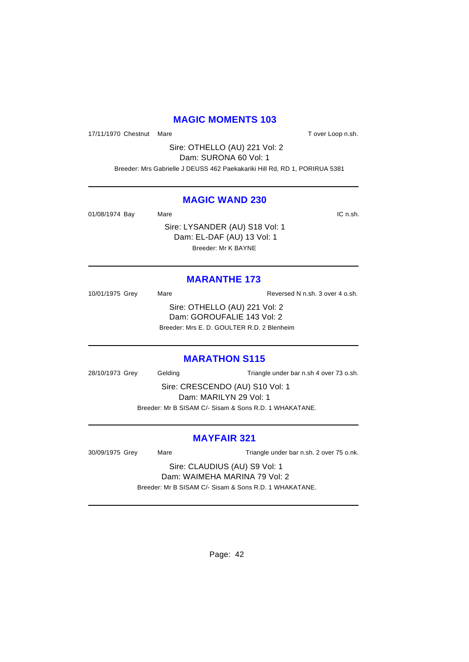### **MAGIC MOMENTS 103**

17/11/1970 Chestnut Mare The Changes of Tover Loop n.sh.

Sire: OTHELLO (AU) 221 Vol: 2 Dam: SURONA 60 Vol: 1

Breeder: Mrs Gabrielle J DEUSS 462 Paekakariki Hill Rd, RD 1, PORIRUA 5381

### **MAGIC WAND 230**

01/08/1974 Bay Mare **IC n.sh.** 

Sire: LYSANDER (AU) S18 Vol: 1 Dam: EL-DAF (AU) 13 Vol: 1 Breeder: Mr K BAYNE

### **MARANTHE 173**

10/01/1975 Grey Mare Mare Reversed N n.sh. 3 over 4 o.sh. Sire: OTHELLO (AU) 221 Vol: 2 Dam: GOROUFALIE 143 Vol: 2 Breeder: Mrs E. D. GOULTER R.D. 2 Blenheim

### **MARATHON S115**

28/10/1973 Grey Gelding Triangle under bar n.sh 4 over 73 o.sh.

Sire: CRESCENDO (AU) S10 Vol: 1 Dam: MARILYN 29 Vol: 1 Breeder: Mr B SISAM C/- Sisam & Sons R.D. 1 WHAKATANE.

### **MAYFAIR 321**

30/09/1975 Grey Mare Mare Triangle under bar n.sh. 2 over 75 o.nk.

Sire: CLAUDIUS (AU) S9 Vol: 1 Dam: WAIMEHA MARINA 79 Vol: 2

Breeder: Mr B SISAM C/- Sisam & Sons R.D. 1 WHAKATANE.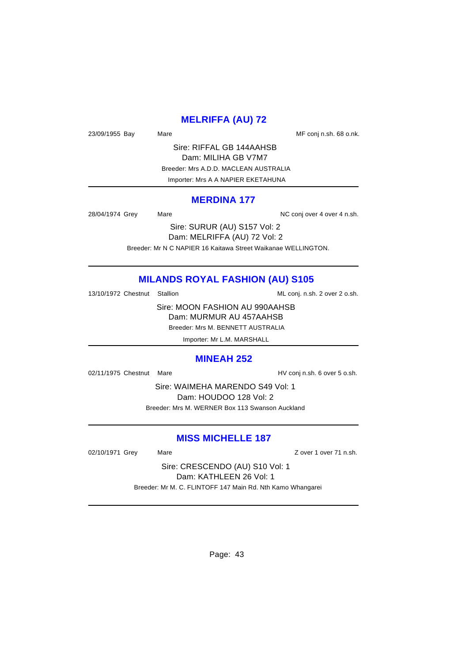### **MELRIFFA (AU) 72**

23/09/1955 Bay Mare Mare ME conj n.sh. 68 o.nk.

Sire: RIFFAL GB 144AAHSB Dam: MILIHA GB V7M7 Breeder: Mrs A.D.D. MACLEAN AUSTRALIA Importer: Mrs A A NAPIER EKETAHUNA

#### **MERDINA 177**

28/04/1974 Grey Mare Mare NC conj over 4 over 4 n.sh.

Sire: SURUR (AU) S157 Vol: 2 Dam: MELRIFFA (AU) 72 Vol: 2

Breeder: Mr N C NAPIER 16 Kaitawa Street Waikanae WELLINGTON.

### **MILANDS ROYAL FASHION (AU) S105**

13/10/1972 Chestnut Stallion ML conj. n.sh. 2 over 2 o.sh.

Sire: MOON FASHION AU 990AAHSB Dam: MURMUR AU 457AAHSB Breeder: Mrs M. BENNETT AUSTRALIA

Importer: Mr L.M. MARSHALL

#### **MINEAH 252**

02/11/1975 Chestnut Mare **HV** conj n.sh. 6 over 5 o.sh.

Sire: WAIMEHA MARENDO S49 Vol: 1 Dam: HOUDOO 128 Vol: 2 Breeder: Mrs M. WERNER Box 113 Swanson Auckland

### **MISS MICHELLE 187**

02/10/1971 Grey Mare Mare 2010/1971 Grey Mare 2010/1971 Grey Mare 2010

Sire: CRESCENDO (AU) S10 Vol: 1 Dam: KATHLEEN 26 Vol: 1 Breeder: Mr M. C. FLINTOFF 147 Main Rd. Nth Kamo Whangarei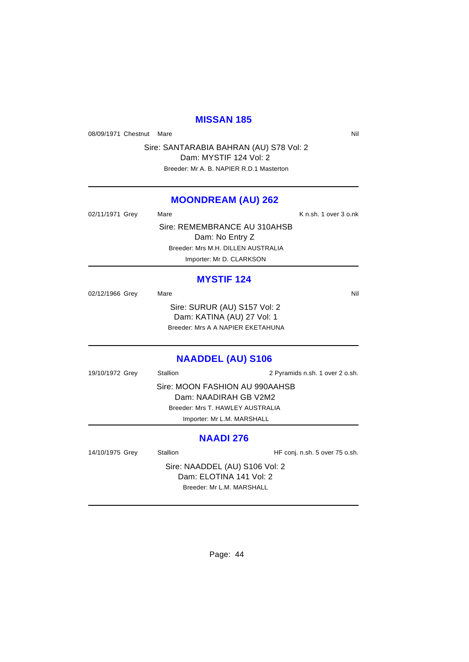### **MISSAN 185**

08/09/1971 Chestnut Mare Nil

Sire: SANTARABIA BAHRAN (AU) S78 Vol: 2 Dam: MYSTIF 124 Vol: 2

Breeder: Mr A. B. NAPIER R.D.1 Masterton

### **MOONDREAM (AU) 262**

| 02/11/1971 Grey | Mare                               | K n.sh. 1 over 3 o.nk |
|-----------------|------------------------------------|-----------------------|
|                 | Sire: REMEMBRANCE AU 310AHSB       |                       |
|                 | Dam: No Entry Z                    |                       |
|                 | Breeder: Mrs M.H. DILLEN AUSTRALIA |                       |
|                 | Importer: Mr D. CLARKSON           |                       |

#### **MYSTIF 124**

| 02/12/1966 Grey | Mare                              | Nil |
|-----------------|-----------------------------------|-----|
|                 | Sire: SURUR (AU) S157 Vol: 2      |     |
|                 | Dam: KATINA (AU) 27 Vol: 1        |     |
|                 | Breeder: Mrs A A NAPIER EKETAHUNA |     |
|                 |                                   |     |

### **NAADDEL (AU) S106**

| 19/10/1972 Grey | <b>Stallion</b>                  | 2 Pyramids n.sh. 1 over 2 o.sh. |
|-----------------|----------------------------------|---------------------------------|
|                 | Sire: MOON FASHION AU 990AAHSB   |                                 |
|                 | Dam: NAADIRAH GB V2M2            |                                 |
|                 | Breeder: Mrs T. HAWLEY AUSTRALIA |                                 |
|                 | Importer: Mr L.M. MARSHALL       |                                 |
|                 |                                  |                                 |

### **NAADI 276**

| 14/10/1975 Grey                | Stallion | HF conj. n.sh. 5 over 75 o.sh. |  |
|--------------------------------|----------|--------------------------------|--|
| Sire: NAADDEL (AU) S106 Vol: 2 |          |                                |  |
| Dam: ELOTINA 141 Vol: 2        |          |                                |  |
| Breeder: Mr L.M. MARSHALL      |          |                                |  |
|                                |          |                                |  |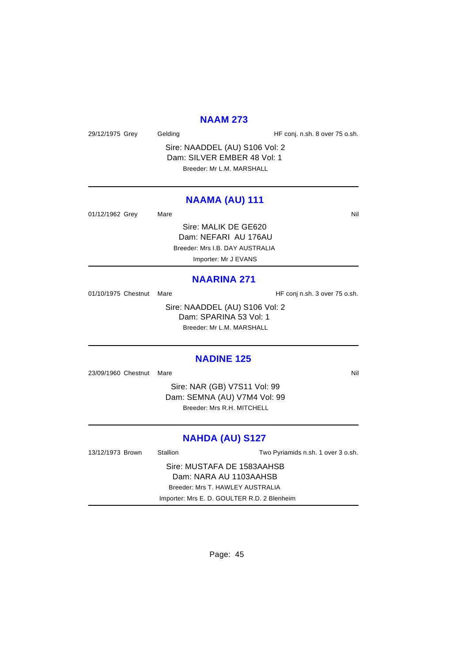#### **NAAM 273**

29/12/1975 Grey Gelding Gelding HF conj. n.sh. 8 over 75 o.sh.

Sire: NAADDEL (AU) S106 Vol: 2 Dam: SILVER EMBER 48 Vol: 1 Breeder: Mr L.M. MARSHALL

### **NAAMA (AU) 111**

01/12/1962 Grey Mare Mare Nil

Sire: MALIK DE GE620 Dam: NEFARI AU 176AU Breeder: Mrs I.B. DAY AUSTRALIA Importer: Mr J EVANS

#### **NAARINA 271**

01/10/1975 Chestnut Mare **HF** conj n.sh. 3 over 75 o.sh.

Sire: NAADDEL (AU) S106 Vol: 2 Dam: SPARINA 53 Vol: 1 Breeder: Mr L.M. MARSHALL

### **NADINE 125**

23/09/1960 Chestnut Mare Nill and Solid Annual Control of the Nill and Solid Annual Control of Nill and Nill and Nill and Nill and Nill and Nill and Nill and Nill and Nill and Nill and Nill and Nill and Nill and Nill and N

Sire: NAR (GB) V7S11 Vol: 99 Dam: SEMNA (AU) V7M4 Vol: 99 Breeder: Mrs R.H. MITCHELL

### **NAHDA (AU) S127**

13/12/1973 Brown Stallion Two Pyriamids n.sh. 1 over 3 o.sh. Sire: MUSTAFA DE 1583AAHSB Dam: NARA AU 1103AAHSB Breeder: Mrs T. HAWLEY AUSTRALIA Importer: Mrs E. D. GOULTER R.D. 2 Blenheim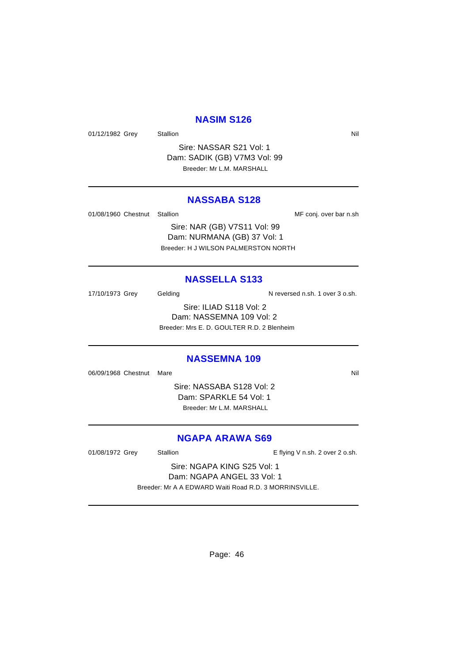### **NASIM S126**

01/12/1982 Grey Stallion States Area and States Area and Nil

Sire: NASSAR S21 Vol: 1 Dam: SADIK (GB) V7M3 Vol: 99 Breeder: Mr L.M. MARSHALL

#### **NASSABA S128**

01/08/1960 Chestnut Stallion **MF** conj. over bar n.sh

Sire: NAR (GB) V7S11 Vol: 99 Dam: NURMANA (GB) 37 Vol: 1 Breeder: H J WILSON PALMERSTON NORTH

#### **NASSELLA S133**

17/10/1973 Grey Gelding Casses and N reversed n.sh. 1 over 3 o.sh.

Sire: ILIAD S118 Vol: 2 Dam: NASSEMNA 109 Vol: 2 Breeder: Mrs E. D. GOULTER R.D. 2 Blenheim

#### **NASSEMNA 109**

06/09/1968 Chestnut Mare Nill and Solid Annual Control of Mill and Solid Annual Control of Mill and Mill and Mi

Sire: NASSABA S128 Vol: 2 Dam: SPARKLE 54 Vol: 1 Breeder: Mr L.M. MARSHALL

### **NGAPA ARAWA S69**

01/08/1972 Grey Stallion E flying V n.sh. 2 over 2 o.sh.

Sire: NGAPA KING S25 Vol: 1 Dam: NGAPA ANGEL 33 Vol: 1 Breeder: Mr A A EDWARD Waiti Road R.D. 3 MORRINSVILLE.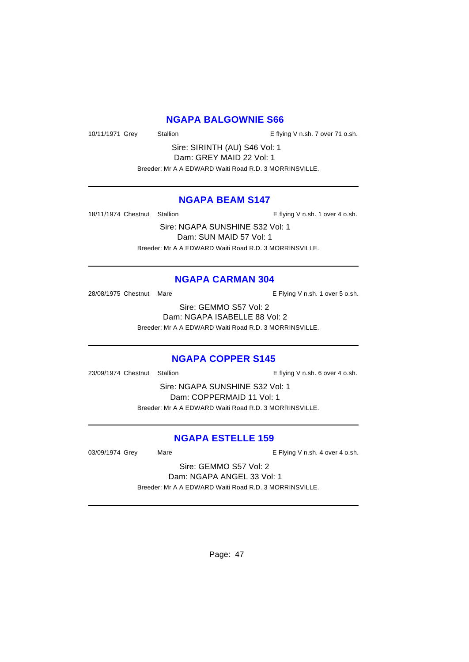### **NGAPA BALGOWNIE S66**

10/11/1971 Grey Stallion **E** flying V n.sh. 7 over 71 o.sh.

Sire: SIRINTH (AU) S46 Vol: 1 Dam: GREY MAID 22 Vol: 1 Breeder: Mr A A EDWARD Waiti Road R.D. 3 MORRINSVILLE.

### **NGAPA BEAM S147**

18/11/1974 Chestnut Stallion E flying V n.sh. 1 over 4 o.sh.

Sire: NGAPA SUNSHINE S32 Vol: 1 Dam: SUN MAID 57 Vol: 1 Breeder: Mr A A EDWARD Waiti Road R.D. 3 MORRINSVILLE.

### **NGAPA CARMAN 304**

28/08/1975 Chestnut Mare **E** Flying V n.sh. 1 over 5 o.sh.

Sire: GEMMO S57 Vol: 2 Dam: NGAPA ISABELLE 88 Vol: 2 Breeder: Mr A A EDWARD Waiti Road R.D. 3 MORRINSVILLE.

### **NGAPA COPPER S145**

23/09/1974 Chestnut Stallion E flying V n.sh. 6 over 4 o.sh.

Sire: NGAPA SUNSHINE S32 Vol: 1 Dam: COPPERMAID 11 Vol: 1 Breeder: Mr A A EDWARD Waiti Road R.D. 3 MORRINSVILLE.

### **NGAPA ESTELLE 159**

03/09/1974 Grey Mare Mare E Flying V n.sh. 4 over 4 o.sh.

Sire: GEMMO S57 Vol: 2 Dam: NGAPA ANGEL 33 Vol: 1 Breeder: Mr A A EDWARD Waiti Road R.D. 3 MORRINSVILLE.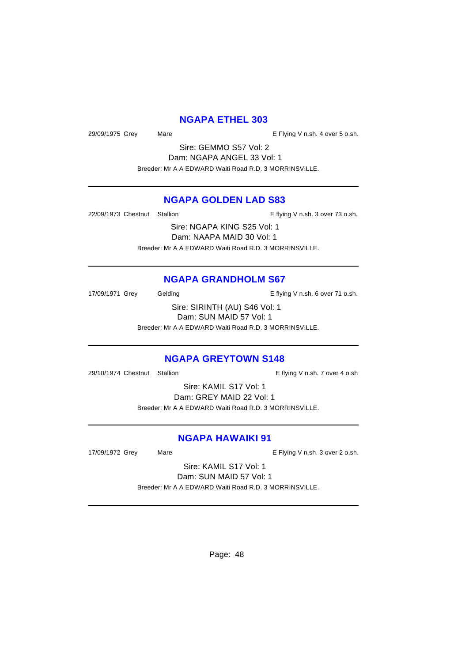### **NGAPA ETHEL 303**

29/09/1975 Grey Mare Mare Communication Control E Flying V n.sh. 4 over 5 o.sh.

Sire: GEMMO S57 Vol: 2 Dam: NGAPA ANGEL 33 Vol: 1 Breeder: Mr A A EDWARD Waiti Road R.D. 3 MORRINSVILLE.

### **NGAPA GOLDEN LAD S83**

22/09/1973 Chestnut Stallion E flying V n.sh. 3 over 73 o.sh.

Sire: NGAPA KING S25 Vol: 1 Dam: NAAPA MAID 30 Vol: 1 Breeder: Mr A A EDWARD Waiti Road R.D. 3 MORRINSVILLE.

### **NGAPA GRANDHOLM S67**

17/09/1971 Grey Gelding Cash E flying V n.sh. 6 over 71 o.sh.

Sire: SIRINTH (AU) S46 Vol: 1 Dam: SUN MAID 57 Vol: 1 Breeder: Mr A A EDWARD Waiti Road R.D. 3 MORRINSVILLE.

### **NGAPA GREYTOWN S148**

29/10/1974 Chestnut Stallion E flying V n.sh. 7 over 4 o.sh

Sire: KAMIL S17 Vol: 1 Dam: GREY MAID 22 Vol: 1 Breeder: Mr A A EDWARD Waiti Road R.D. 3 MORRINSVILLE.

### **NGAPA HAWAIKI 91**

17/09/1972 Grey Mare Mare E Flying V n.sh. 3 over 2 o.sh.

Sire: KAMIL S17 Vol: 1 Dam: SUN MAID 57 Vol: 1 Breeder: Mr A A EDWARD Waiti Road R.D. 3 MORRINSVILLE.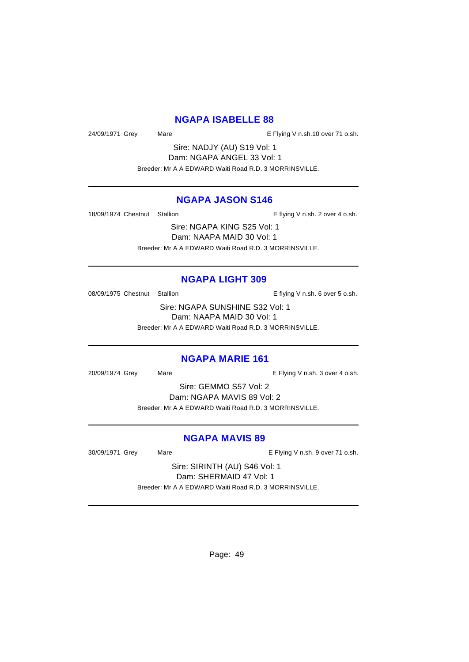### **NGAPA ISABELLE 88**

24/09/1971 Grey Mare E Flying V n.sh.10 over 71 o.sh.

Sire: NADJY (AU) S19 Vol: 1 Dam: NGAPA ANGEL 33 Vol: 1 Breeder: Mr A A EDWARD Waiti Road R.D. 3 MORRINSVILLE.

### **NGAPA JASON S146**

18/09/1974 Chestnut Stallion E flying V n.sh. 2 over 4 o.sh.

Sire: NGAPA KING S25 Vol: 1 Dam: NAAPA MAID 30 Vol: 1 Breeder: Mr A A EDWARD Waiti Road R.D. 3 MORRINSVILLE.

#### **NGAPA LIGHT 309**

08/09/1975 Chestnut Stallion E flying V n.sh. 6 over 5 o.sh.

Sire: NGAPA SUNSHINE S32 Vol: 1 Dam: NAAPA MAID 30 Vol: 1 Breeder: Mr A A EDWARD Waiti Road R.D. 3 MORRINSVILLE.

#### **NGAPA MARIE 161**

20/09/1974 Grey Mare E Flying V n.sh. 3 over 4 o.sh.

Sire: GEMMO S57 Vol: 2 Dam: NGAPA MAVIS 89 Vol: 2 Breeder: Mr A A EDWARD Waiti Road R.D. 3 MORRINSVILLE.

### **NGAPA MAVIS 89**

30/09/1971 Grey Mare E Flying V n.sh. 9 over 71 o.sh.

Sire: SIRINTH (AU) S46 Vol: 1 Dam: SHERMAID 47 Vol: 1 Breeder: Mr A A EDWARD Waiti Road R.D. 3 MORRINSVILLE.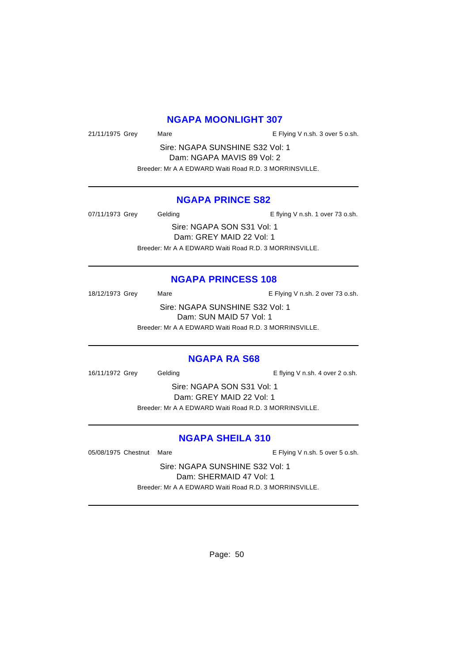### **NGAPA MOONLIGHT 307**

21/11/1975 Grey Mare Mare E Flying V n.sh. 3 over 5 o.sh.

Sire: NGAPA SUNSHINE S32 Vol: 1 Dam: NGAPA MAVIS 89 Vol: 2 Breeder: Mr A A EDWARD Waiti Road R.D. 3 MORRINSVILLE.

#### **NGAPA PRINCE S82**

07/11/1973 Grey Gelding Casses Contact Telecommunic Contact Telecommunic Contact Telecommunic Contact Telecommunic Contact Telecommunic Contact Telecommunic Contact Telecommunic Contact Telecommunic Contact Telecommunic Co

Sire: NGAPA SON S31 Vol: 1 Dam: GREY MAID 22 Vol: 1 Breeder: Mr A A EDWARD Waiti Road R.D. 3 MORRINSVILLE.

### **NGAPA PRINCESS 108**

18/12/1973 Grey Mare Mare E Flying V n.sh. 2 over 73 o.sh. Sire: NGAPA SUNSHINE S32 Vol: 1 Dam: SUN MAID 57 Vol: 1

Breeder: Mr A A EDWARD Waiti Road R.D. 3 MORRINSVILLE.

### **NGAPA RA S68**

16/11/1972 Grey Gelding Cash. E flying V n.sh. 4 over 2 o.sh.

Sire: NGAPA SON S31 Vol: 1 Dam: GREY MAID 22 Vol: 1 Breeder: Mr A A EDWARD Waiti Road R.D. 3 MORRINSVILLE.

### **NGAPA SHEILA 310**

05/08/1975 Chestnut Mare **E** Flying V n.sh. 5 over 5 o.sh.

Sire: NGAPA SUNSHINE S32 Vol: 1 Dam: SHERMAID 47 Vol: 1 Breeder: Mr A A EDWARD Waiti Road R.D. 3 MORRINSVILLE.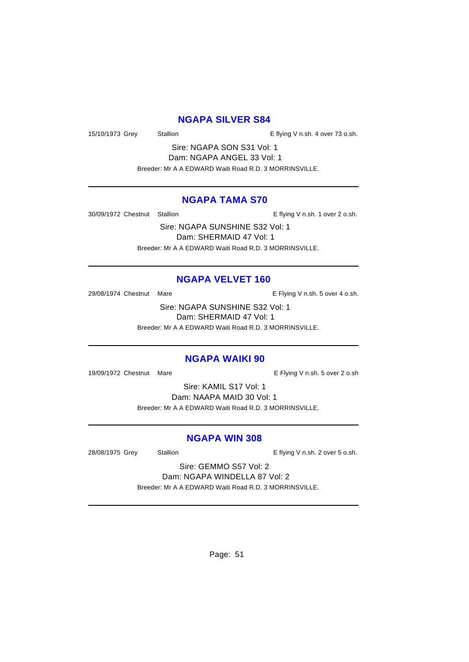### **NGAPA SILVER S84**

15/10/1973 Grey Stallion Stallion E flying V n.sh. 4 over 73 o.sh.

Sire: NGAPA SON S31 Vol: 1 Dam: NGAPA ANGEL 33 Vol: 1 Breeder: Mr A A EDWARD Waiti Road R.D. 3 MORRINSVILLE.

### **NGAPA TAMA S70**

30/09/1972 Chestnut Stallion E flying V n.sh. 1 over 2 o.sh.

Sire: NGAPA SUNSHINE S32 Vol: 1 Dam: SHERMAID 47 Vol: 1 Breeder: Mr A A EDWARD Waiti Road R.D. 3 MORRINSVILLE.

### **NGAPA VELVET 160**

29/08/1974 Chestnut Mare **E** Flying V n.sh. 5 over 4 o.sh.

Sire: NGAPA SUNSHINE S32 Vol: 1 Dam: SHERMAID 47 Vol: 1 Breeder: Mr A A EDWARD Waiti Road R.D. 3 MORRINSVILLE.

#### **NGAPA WAIKI 90**

19/09/1972 Chestnut Mare **E** Flying V n.sh. 5 over 2 o.sh

Sire: KAMIL S17 Vol: 1 Dam: NAAPA MAID 30 Vol: 1 Breeder: Mr A A EDWARD Waiti Road R.D. 3 MORRINSVILLE.

### **NGAPA WIN 308**

28/08/1975 Grey Stallion Stallion E flying V n.sh. 2 over 5 o.sh.

Sire: GEMMO S57 Vol: 2 Dam: NGAPA WINDELLA 87 Vol: 2

Breeder: Mr A A EDWARD Waiti Road R.D. 3 MORRINSVILLE.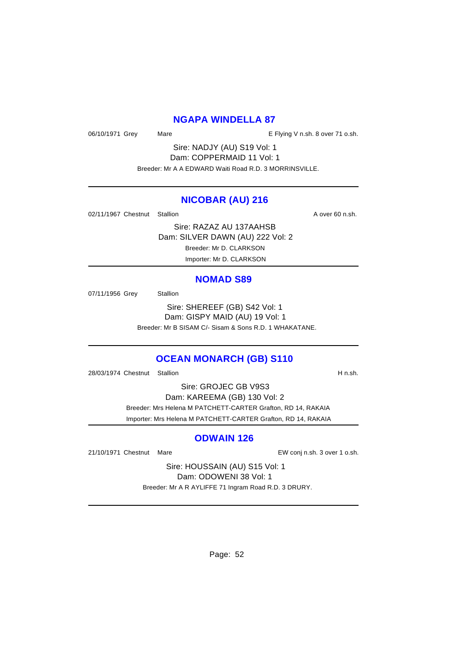### **NGAPA WINDELLA 87**

06/10/1971 Grey Mare Mare E Flying V n.sh. 8 over 71 o.sh.

Sire: NADJY (AU) S19 Vol: 1 Dam: COPPERMAID 11 Vol: 1 Breeder: Mr A A EDWARD Waiti Road R.D. 3 MORRINSVILLE.

#### **NICOBAR (AU) 216**

02/11/1967 Chestnut Stallion A over 60 n.sh.

Sire: RAZAZ AU 137AAHSB Dam: SILVER DAWN (AU) 222 Vol: 2 Breeder: Mr D. CLARKSON Importer: Mr D. CLARKSON

#### **NOMAD S89**

07/11/1956 Grey Stallion

Sire: SHEREEF (GB) S42 Vol: 1 Dam: GISPY MAID (AU) 19 Vol: 1 Breeder: Mr B SISAM C/- Sisam & Sons R.D. 1 WHAKATANE.

### **OCEAN MONARCH (GB) S110**

28/03/1974 Chestnut Stallion **H** n.sh.

Sire: GROJEC GB V9S3 Dam: KAREEMA (GB) 130 Vol: 2 Breeder: Mrs Helena M PATCHETT-CARTER Grafton, RD 14, RAKAIA Importer: Mrs Helena M PATCHETT-CARTER Grafton, RD 14, RAKAIA

#### **ODWAIN 126**

21/10/1971 Chestnut Mare EW conj n.sh. 3 over 1 o.sh.

Sire: HOUSSAIN (AU) S15 Vol: 1 Dam: ODOWENI 38 Vol: 1 Breeder: Mr A R AYLIFFE 71 Ingram Road R.D. 3 DRURY.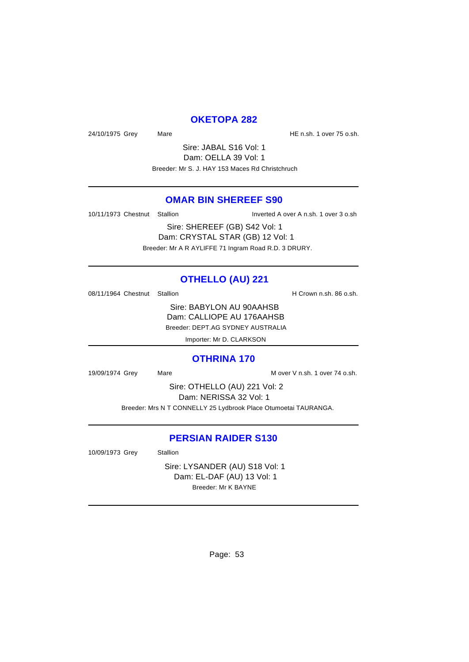### **OKETOPA 282**

24/10/1975 Grey Mare Mare 19 Mare HE n.sh. 1 over 75 o.sh.

Sire: JABAL S16 Vol: 1 Dam: OELLA 39 Vol: 1 Breeder: Mr S. J. HAY 153 Maces Rd Christchruch

### **OMAR BIN SHEREEF S90**

10/11/1973 Chestnut Stallion Inverted A over A n.sh. 1 over 3 o.sh

Sire: SHEREEF (GB) S42 Vol: 1 Dam: CRYSTAL STAR (GB) 12 Vol: 1 Breeder: Mr A R AYLIFFE 71 Ingram Road R.D. 3 DRURY.

### **OTHELLO (AU) 221**

08/11/1964 Chestnut Stallion H Crown n.sh. 86 o.sh.

Sire: BABYLON AU 90AAHSB Dam: CALLIOPE AU 176AAHSB Breeder: DEPT.AG SYDNEY AUSTRALIA

Importer: Mr D. CLARKSON

#### **OTHRINA 170**

19/09/1974 Grey Mare Mare Mare Mover V n.sh. 1 over 74 o.sh.

Sire: OTHELLO (AU) 221 Vol: 2 Dam: NERISSA 32 Vol: 1 Breeder: Mrs N T CONNELLY 25 Lydbrook Place Otumoetai TAURANGA.

### **PERSIAN RAIDER S130**

10/09/1973 Grey Stallion

Sire: LYSANDER (AU) S18 Vol: 1 Dam: EL-DAF (AU) 13 Vol: 1 Breeder: Mr K BAYNE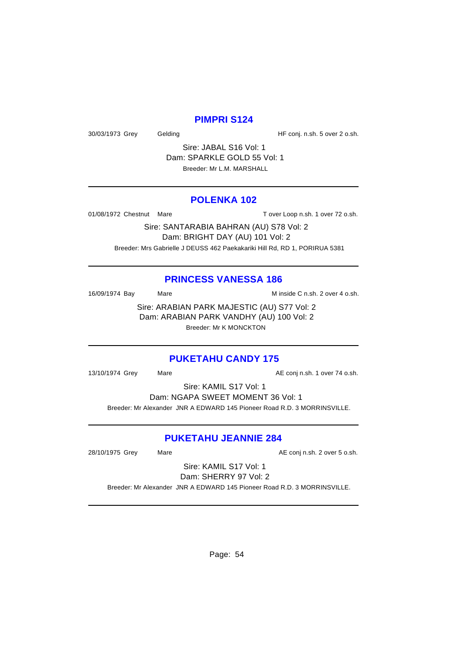### **PIMPRI S124**

30/03/1973 Grey Gelding Gelding HF conj. n.sh. 5 over 2 o.sh.

Sire: JABAL S16 Vol: 1 Dam: SPARKLE GOLD 55 Vol: 1 Breeder: Mr L.M. MARSHALL

#### **POLENKA 102**

01/08/1972 Chestnut Mare T over Loop n.sh. 1 over 72 o.sh.

Sire: SANTARABIA BAHRAN (AU) S78 Vol: 2 Dam: BRIGHT DAY (AU) 101 Vol: 2 Breeder: Mrs Gabrielle J DEUSS 462 Paekakariki Hill Rd, RD 1, PORIRUA 5381

#### **PRINCESS VANESSA 186**

16/09/1974 Bay Mare Mare Minside C n.sh. 2 over 4 o.sh.

Sire: ARABIAN PARK MAJESTIC (AU) S77 Vol: 2 Dam: ARABIAN PARK VANDHY (AU) 100 Vol: 2 Breeder: Mr K MONCKTON

#### **PUKETAHU CANDY 175**

13/10/1974 Grey Mare Mare AE conj n.sh. 1 over 74 o.sh.

Sire: KAMIL S17 Vol: 1

Dam: NGAPA SWEET MOMENT 36 Vol: 1

Breeder: Mr Alexander JNR A EDWARD 145 Pioneer Road R.D. 3 MORRINSVILLE.

### **PUKETAHU JEANNIE 284**

28/10/1975 Grey Mare Mare AE conj n.sh. 2 over 5 o.sh.

Sire: KAMIL S17 Vol: 1 Dam: SHERRY 97 Vol: 2

Breeder: Mr Alexander JNR A EDWARD 145 Pioneer Road R.D. 3 MORRINSVILLE.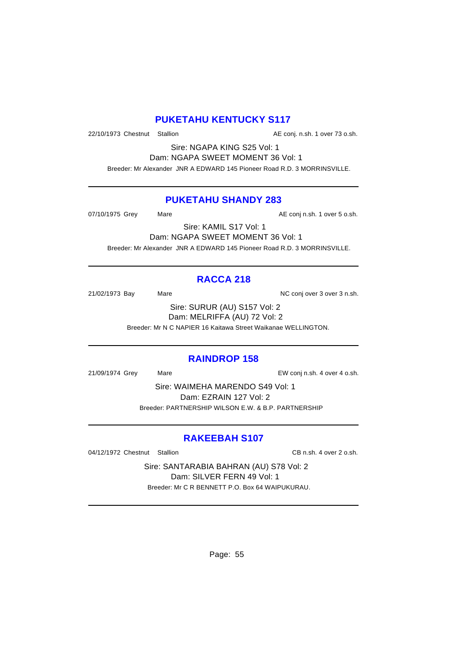### **PUKETAHU KENTUCKY S117**

22/10/1973 Chestnut Stallion AE conj. n.sh. 1 over 73 o.sh.

Sire: NGAPA KING S25 Vol: 1 Dam: NGAPA SWEET MOMENT 36 Vol: 1

Breeder: Mr Alexander JNR A EDWARD 145 Pioneer Road R.D. 3 MORRINSVILLE.

### **PUKETAHU SHANDY 283**

07/10/1975 Grey Mare Mare AE conj n.sh. 1 over 5 o.sh.

Sire: KAMIL S17 Vol: 1

Dam: NGAPA SWEET MOMENT 36 Vol: 1 Breeder: Mr Alexander JNR A EDWARD 145 Pioneer Road R.D. 3 MORRINSVILLE.

### **RACCA 218**

21/02/1973 Bay Mare Mare NC conj over 3 over 3 n.sh.

Sire: SURUR (AU) S157 Vol: 2 Dam: MELRIFFA (AU) 72 Vol: 2

Breeder: Mr N C NAPIER 16 Kaitawa Street Waikanae WELLINGTON.

### **RAINDROP 158**

21/09/1974 Grey Mare EW conj n.sh. 4 over 4 o.sh.

Sire: WAIMEHA MARENDO S49 Vol: 1 Dam: EZRAIN 127 Vol: 2 Breeder: PARTNERSHIP WILSON E.W. & B.P. PARTNERSHIP

### **RAKEEBAH S107**

04/12/1972 Chestnut Stallion CB n.sh. 4 over 2 o.sh.

Sire: SANTARABIA BAHRAN (AU) S78 Vol: 2 Dam: SILVER FERN 49 Vol: 1 Breeder: Mr C R BENNETT P.O. Box 64 WAIPUKURAU.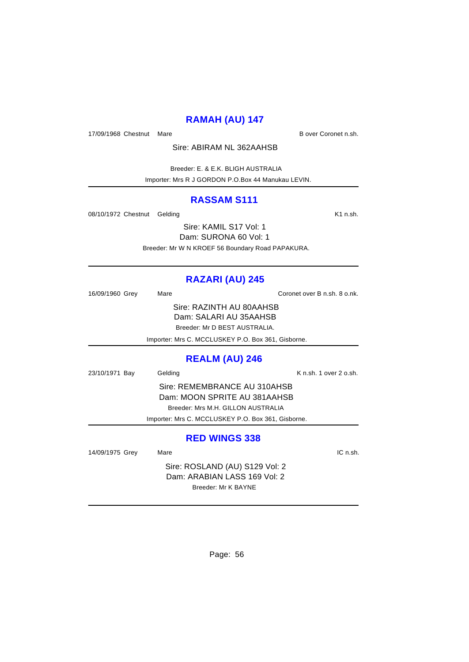# **RAMAH (AU) 147**

17/09/1968 Chestnut Mare **B** over Coronet n.sh.

Sire: ABIRAM NL 362AAHSB

 Breeder: E. & E.K. BLIGH AUSTRALIA Importer: Mrs R J GORDON P.O.Box 44 Manukau LEVIN.

### **RASSAM S111**

08/10/1972 Chestnut Gelding K1 n.sh.

Sire: KAMIL S17 Vol: 1 Dam: SURONA 60 Vol: 1 Breeder: Mr W N KROEF 56 Boundary Road PAPAKURA.

# **RAZARI (AU) 245**

| 16/09/1960 Grey       | Mare    |                                                    | Coronet over B n.sh. 8 o.nk. |
|-----------------------|---------|----------------------------------------------------|------------------------------|
|                       |         | Sire: RAZINTH AU 80AAHSB                           |                              |
|                       |         | Dam: SALARI AU 35AAHSB                             |                              |
|                       |         | Breeder: Mr D BEST AUSTRALIA.                      |                              |
|                       |         | Importer: Mrs C. MCCLUSKEY P.O. Box 361, Gisborne. |                              |
| <b>REALM (AU) 246</b> |         |                                                    |                              |
| 23/10/1971 Bay        | Gelding |                                                    | K n.sh. 1 over 2 o.sh.       |
|                       |         | Sire: REMEMBRANCE AU 310AHSB                       |                              |
|                       |         | Dam: MOON SPRITE AU 381AAHSB                       |                              |
|                       |         | Breeder: Mrs M.H. GILLON AUSTRALIA                 |                              |
|                       |         | Importer: Mrs C. MCCLUSKEY P.O. Box 361, Gisborne. |                              |
| <b>RED WINGS 338</b>  |         |                                                    |                              |

14/09/1975 Grey Mare Mare 16 Australian Mare IC n.sh.

Sire: ROSLAND (AU) S129 Vol: 2 Dam: ARABIAN LASS 169 Vol: 2 Breeder: Mr K BAYNE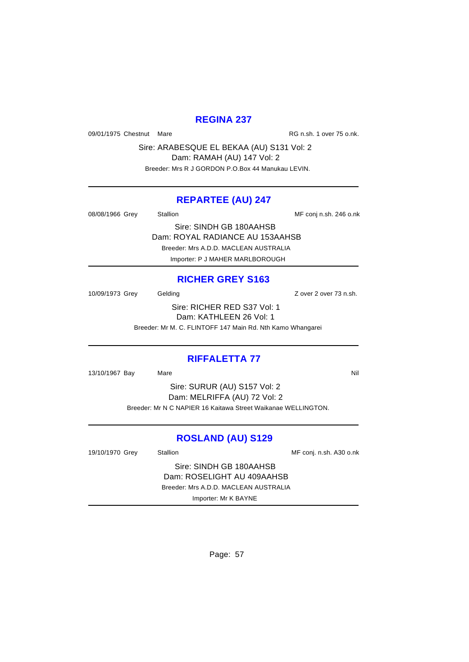### **REGINA 237**

09/01/1975 Chestnut Mare **RG n.sh. 1 over 75 o.nk.** 

Sire: ARABESQUE EL BEKAA (AU) S131 Vol: 2 Dam: RAMAH (AU) 147 Vol: 2 Breeder: Mrs R J GORDON P.O.Box 44 Manukau LEVIN.

### **REPARTEE (AU) 247**

08/08/1966 Grey Stallion Stallion State State MF conj n.sh. 246 o.nk

Sire: SINDH GB 180AAHSB

Dam: ROYAL RADIANCE AU 153AAHSB

Breeder: Mrs A.D.D. MACLEAN AUSTRALIA

Importer: P J MAHER MARLBOROUGH

### **RICHER GREY S163**

10/09/1973 Grey Gelding Carrier Cover 2 over 73 n.sh.

Sire: RICHER RED S37 Vol: 1 Dam: KATHLEEN 26 Vol: 1

Breeder: Mr M. C. FLINTOFF 147 Main Rd. Nth Kamo Whangarei

### **RIFFALETTA 77**

13/10/1967 Bay Mare National Markets and Markets and Markets and Markets and Markets and Markets and Markets and Ma

Sire: SURUR (AU) S157 Vol: 2 Dam: MELRIFFA (AU) 72 Vol: 2 Breeder: Mr N C NAPIER 16 Kaitawa Street Waikanae WELLINGTON.

### **ROSLAND (AU) S129**

19/10/1970 Grey Stallion Stallion State State of MF conj. n.sh. A30 o.nk Sire: SINDH GB 180AAHSB Dam: ROSELIGHT AU 409AAHSB Breeder: Mrs A.D.D. MACLEAN AUSTRALIA Importer: Mr K BAYNE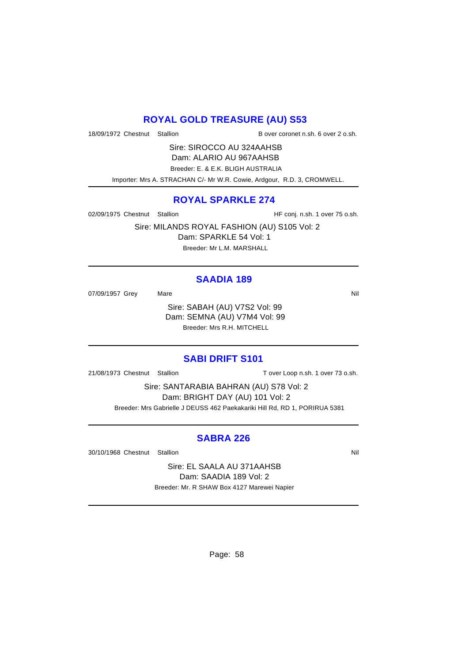### **ROYAL GOLD TREASURE (AU) S53**

18/09/1972 Chestnut Stallion B over coronet n.sh. 6 over 2 o.sh.

Sire: SIROCCO AU 324AAHSB Dam: ALARIO AU 967AAHSB Breeder: E. & E.K. BLIGH AUSTRALIA Importer: Mrs A. STRACHAN C/- Mr W.R. Cowie, Ardgour, R.D. 3, CROMWELL.

### **ROYAL SPARKLE 274**

02/09/1975 Chestnut Stallion HF conj. n.sh. 1 over 75 o.sh.

Sire: MILANDS ROYAL FASHION (AU) S105 Vol: 2 Dam: SPARKLE 54 Vol: 1 Breeder: Mr L.M. MARSHALL

### **SAADIA 189**

07/09/1957 Grey Mare Mare Nil

Sire: SABAH (AU) V7S2 Vol: 99 Dam: SEMNA (AU) V7M4 Vol: 99 Breeder: Mrs R.H. MITCHELL

#### **SABI DRIFT S101**

21/08/1973 Chestnut Stallion T over Loop n.sh. 1 over 73 o.sh.

Sire: SANTARABIA BAHRAN (AU) S78 Vol: 2 Dam: BRIGHT DAY (AU) 101 Vol: 2 Breeder: Mrs Gabrielle J DEUSS 462 Paekakariki Hill Rd, RD 1, PORIRUA 5381

### **SABRA 226**

30/10/1968 Chestnut Stallion Nill and State of the Nill and State of Nill and State of Nill and State of Nill

Sire: EL SAALA AU 371AAHSB Dam: SAADIA 189 Vol: 2 Breeder: Mr. R SHAW Box 4127 Marewei Napier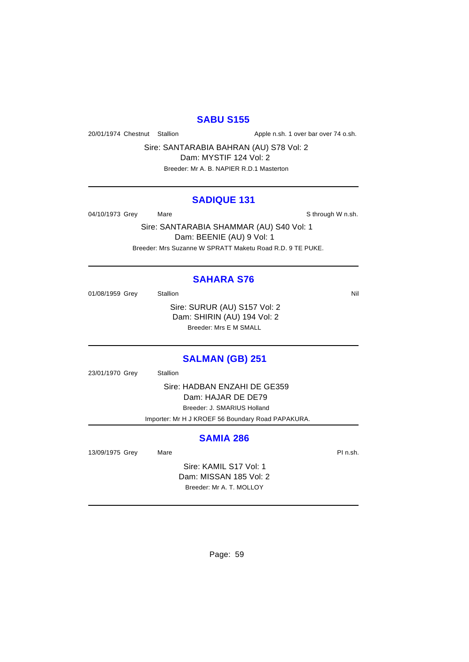### **SABU S155**

20/01/1974 Chestnut Stallion Apple n.sh. 1 over bar over 74 o.sh.

Sire: SANTARABIA BAHRAN (AU) S78 Vol: 2

Dam: MYSTIF 124 Vol: 2 Breeder: Mr A. B. NAPIER R.D.1 Masterton

# **SADIQUE 131**

04/10/1973 Grey Mare Mare Share Sthrough W n.sh.

Sire: SANTARABIA SHAMMAR (AU) S40 Vol: 1 Dam: BEENIE (AU) 9 Vol: 1 Breeder: Mrs Suzanne W SPRATT Maketu Road R.D. 9 TE PUKE.

### **SAHARA S76**

01/08/1959 Grey Stallion Nil Sire: SURUR (AU) S157 Vol: 2 Dam: SHIRIN (AU) 194 Vol: 2 Breeder: Mrs E M SMALL

### **SALMAN (GB) 251**

23/01/1970 Grey Stallion

Sire: HADBAN ENZAHI DE GE359 Dam: HAJAR DE DE79 Breeder: J. SMARIUS Holland

Importer: Mr H J KROEF 56 Boundary Road PAPAKURA.

### **SAMIA 286**

13/09/1975 Grey Mare Mare **Market Account 13/09/1975** Grey Mare

Sire: KAMIL S17 Vol: 1 Dam: MISSAN 185 Vol: 2 Breeder: Mr A. T. MOLLOY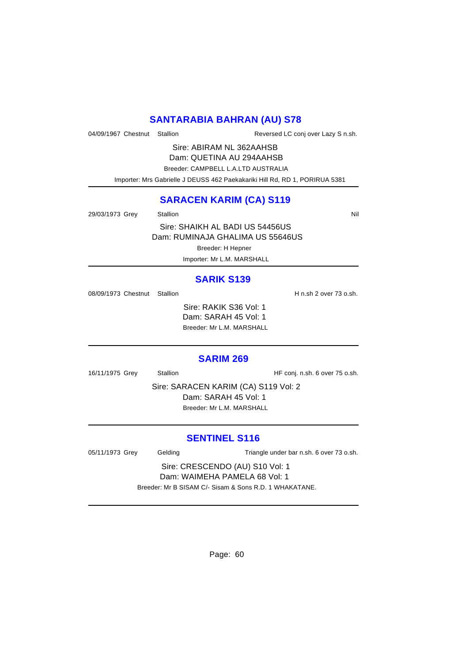### **SANTARABIA BAHRAN (AU) S78**

04/09/1967 Chestnut Stallion Reversed LC conj over Lazy S n.sh.

Sire: ABIRAM NL 362AAHSB Dam: QUETINA AU 294AAHSB

Breeder: CAMPBELL L.A.LTD AUSTRALIA

Importer: Mrs Gabrielle J DEUSS 462 Paekakariki Hill Rd, RD 1, PORIRUA 5381

### **SARACEN KARIM (CA) S119**

29/03/1973 Grey Stallion Stallion Nil

Sire: SHAIKH AL BADI US 54456US Dam: RUMINAJA GHALIMA US 55646US

Breeder: H Hepner

Importer: Mr L.M. MARSHALL

### **SARIK S139**

08/09/1973 Chestnut Stallion H n.sh 2 over 73 o.sh.

Sire: RAKIK S36 Vol: 1 Dam: SARAH 45 Vol: 1 Breeder: Mr L.M. MARSHALL

#### **SARIM 269**

16/11/1975 Grey Stallion Stallion HF conj. n.sh. 6 over 75 o.sh.

Sire: SARACEN KARIM (CA) S119 Vol: 2 Dam: SARAH 45 Vol: 1 Breeder: Mr L.M. MARSHALL

### **SENTINEL S116**

05/11/1973 Grey Gelding Triangle under bar n.sh. 6 over 73 o.sh.

Sire: CRESCENDO (AU) S10 Vol: 1 Dam: WAIMEHA PAMELA 68 Vol: 1

Breeder: Mr B SISAM C/- Sisam & Sons R.D. 1 WHAKATANE.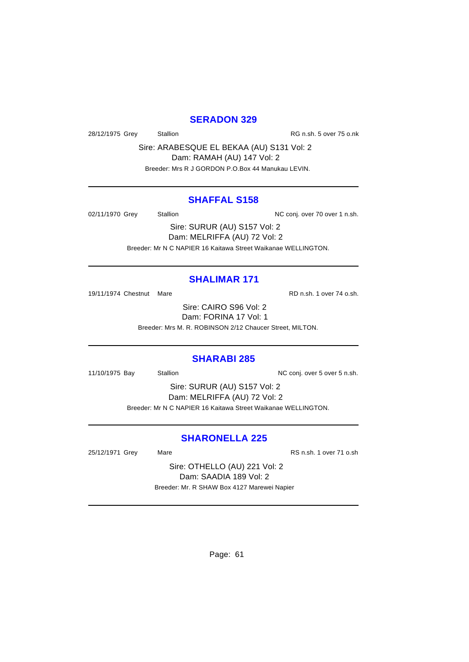### **SERADON 329**

28/12/1975 Grey Stallion Stallion RG n.sh. 5 over 75 o.nk

Sire: ARABESQUE EL BEKAA (AU) S131 Vol: 2 Dam: RAMAH (AU) 147 Vol: 2

Breeder: Mrs R J GORDON P.O.Box 44 Manukau LEVIN.

### **SHAFFAL S158**

02/11/1970 Grey Stallion Stallion NC conj. over 70 over 1 n.sh.

Sire: SURUR (AU) S157 Vol: 2 Dam: MELRIFFA (AU) 72 Vol: 2 Breeder: Mr N C NAPIER 16 Kaitawa Street Waikanae WELLINGTON.

### **SHALIMAR 171**

19/11/1974 Chestnut Mare **Reserves** RD n.sh. 1 over 74 o.sh.

Sire: CAIRO S96 Vol: 2 Dam: FORINA 17 Vol: 1

Breeder: Mrs M. R. ROBINSON 2/12 Chaucer Street, MILTON.

### **SHARABI 285**

11/10/1975 Bay Stallion Stallion NC conj. over 5 over 5 n.sh.

Sire: SURUR (AU) S157 Vol: 2 Dam: MELRIFFA (AU) 72 Vol: 2 Breeder: Mr N C NAPIER 16 Kaitawa Street Waikanae WELLINGTON.

### **SHARONELLA 225**

25/12/1971 Grey Mare Mare RS n.sh. 1 over 71 o.sh

Sire: OTHELLO (AU) 221 Vol: 2 Dam: SAADIA 189 Vol: 2 Breeder: Mr. R SHAW Box 4127 Marewei Napier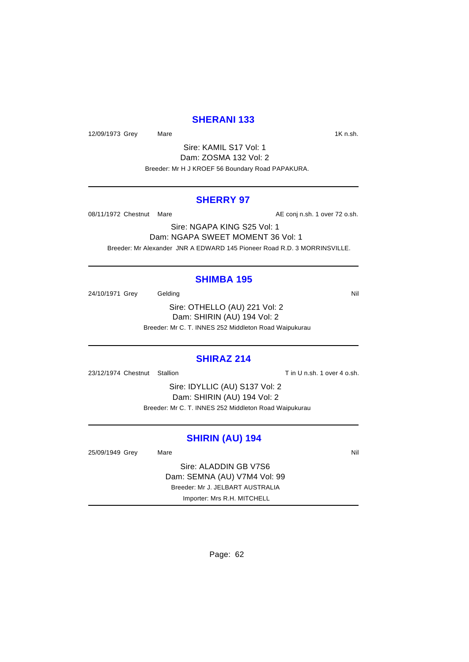### **SHERANI 133**

12/09/1973 Grey Mare 12/09/1973 Mare 16 March 2010 March 2010

Sire: KAMIL S17 Vol: 1 Dam: ZOSMA 132 Vol: 2 Breeder: Mr H J KROEF 56 Boundary Road PAPAKURA.

### **SHERRY 97**

08/11/1972 Chestnut Mare **AE conj n.sh.** 1 over 72 o.sh.

Sire: NGAPA KING S25 Vol: 1 Dam: NGAPA SWEET MOMENT 36 Vol: 1 Breeder: Mr Alexander JNR A EDWARD 145 Pioneer Road R.D. 3 MORRINSVILLE.

#### **SHIMBA 195**

24/10/1971 Grey Gelding Care Contact Contact Contact Contact Contact Contact Contact Contact Contact Contact Contact Contact Contact Contact Contact Contact Contact Contact Contact Contact Contact Contact Contact Contact C

Sire: OTHELLO (AU) 221 Vol: 2 Dam: SHIRIN (AU) 194 Vol: 2 Breeder: Mr C. T. INNES 252 Middleton Road Waipukurau

#### **SHIRAZ 214**

23/12/1974 Chestnut Stallion Tin U n.sh. 1 over 4 o.sh.

Sire: IDYLLIC (AU) S137 Vol: 2 Dam: SHIRIN (AU) 194 Vol: 2 Breeder: Mr C. T. INNES 252 Middleton Road Waipukurau

#### **SHIRIN (AU) 194**

25/09/1949 Grey Mare Mare Nil Sire: ALADDIN GB V7S6 Dam: SEMNA (AU) V7M4 Vol: 99 Breeder: Mr J. JELBART AUSTRALIA Importer: Mrs R.H. MITCHELL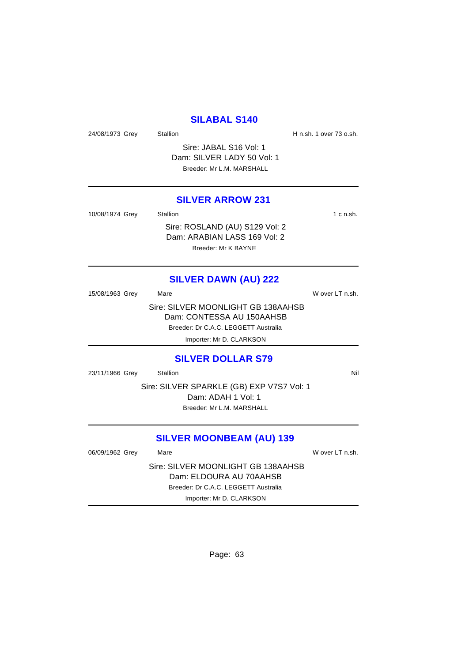### **SILABAL S140**

24/08/1973 Grey Stallion Stallion State H n.sh. 1 over 73 o.sh.

Sire: JABAL S16 Vol: 1 Dam: SILVER LADY 50 Vol: 1 Breeder: Mr L.M. MARSHALL

#### **SILVER ARROW 231**

Dam: ARABIAN LASS 169 Vol: 2 Breeder: Mr K BAYNE

| 10/08/1974 Grey | Stallion                       | 1 c n.sh. |
|-----------------|--------------------------------|-----------|
|                 | Sire: ROSLAND (AU) S129 Vol: 2 |           |

# **SILVER DAWN (AU) 222**

| 15/08/1963 Grey | Mare                                 | W over LT n.sh. |
|-----------------|--------------------------------------|-----------------|
|                 | Sire: SILVER MOONLIGHT GB 138AAHSB   |                 |
|                 | Dam: CONTESSA AU 150AAHSB            |                 |
|                 | Breeder: Dr C.A.C. LEGGETT Australia |                 |

Importer: Mr D. CLARKSON

#### **SILVER DOLLAR S79**

23/11/1966 Grey Stallion **Stallion** Nil

Sire: SILVER SPARKLE (GB) EXP V7S7 Vol: 1 Dam: ADAH 1 Vol: 1 Breeder: Mr L.M. MARSHALL

### **SILVER MOONBEAM (AU) 139**

06/09/1962 Grey Mare Mare W over LT n.sh.

Sire: SILVER MOONLIGHT GB 138AAHSB Dam: ELDOURA AU 70AAHSB Breeder: Dr C.A.C. LEGGETT Australia Importer: Mr D. CLARKSON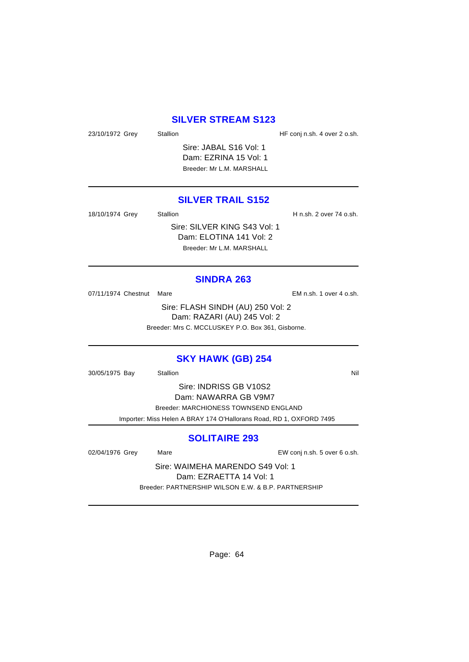### **SILVER STREAM S123**

23/10/1972 Grey Stallion Stallion HF conj n.sh. 4 over 2 o.sh.

Sire: JABAL S16 Vol: 1 Dam: EZRINA 15 Vol: 1 Breeder: Mr L.M. MARSHALL

### **SILVER TRAIL S152**

18/10/1974 Grey Stallion Stallion State H n.sh. 2 over 74 o.sh.

Sire: SILVER KING S43 Vol: 1 Dam: ELOTINA 141 Vol: 2 Breeder: Mr L.M. MARSHALL

**SINDRA 263**

07/11/1974 Chestnut Mare **EM** n.sh. 1 over 4 o.sh.

Sire: FLASH SINDH (AU) 250 Vol: 2 Dam: RAZARI (AU) 245 Vol: 2 Breeder: Mrs C. MCCLUSKEY P.O. Box 361, Gisborne.

### **SKY HAWK (GB) 254**

30/05/1975 Bay Stallion Stallion Nil

Sire: INDRISS GB V10S2 Dam: NAWARRA GB V9M7 Breeder: MARCHIONESS TOWNSEND ENGLAND Importer: Miss Helen A BRAY 174 O'Hallorans Road, RD 1, OXFORD 7495

### **SOLITAIRE 293**

02/04/1976 Grey Mare Mare EW conj n.sh. 5 over 6 o.sh.

Sire: WAIMEHA MARENDO S49 Vol: 1 Dam: EZRAETTA 14 Vol: 1 Breeder: PARTNERSHIP WILSON E.W. & B.P. PARTNERSHIP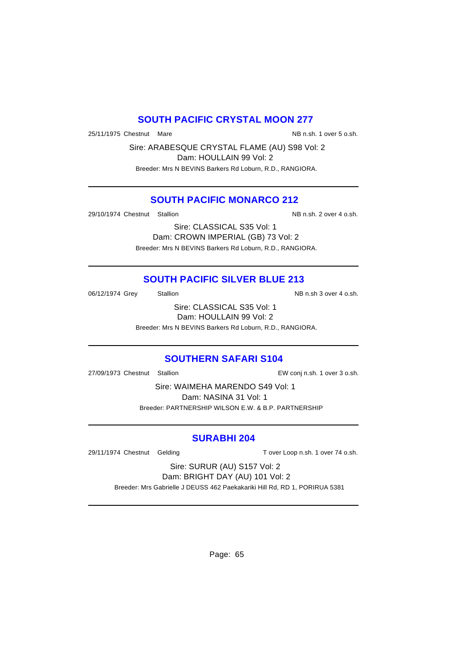### **SOUTH PACIFIC CRYSTAL MOON 277**

25/11/1975 Chestnut Mare National Communication of the NB n.sh. 1 over 5 o.sh.

Sire: ARABESQUE CRYSTAL FLAME (AU) S98 Vol: 2 Dam: HOULLAIN 99 Vol: 2 Breeder: Mrs N BEVINS Barkers Rd Loburn, R.D., RANGIORA.

### **SOUTH PACIFIC MONARCO 212**

29/10/1974 Chestnut Stallion NB n.sh. 2 over 4 o.sh.

Sire: CLASSICAL S35 Vol: 1 Dam: CROWN IMPERIAL (GB) 73 Vol: 2 Breeder: Mrs N BEVINS Barkers Rd Loburn, R.D., RANGIORA.

### **SOUTH PACIFIC SILVER BLUE 213**

06/12/1974 Grey Stallion Stallion State State NB n.sh 3 over 4 o.sh.

Sire: CLASSICAL S35 Vol: 1 Dam: HOULLAIN 99 Vol: 2

Breeder: Mrs N BEVINS Barkers Rd Loburn, R.D., RANGIORA.

### **SOUTHERN SAFARI S104**

27/09/1973 Chestnut Stallion EW conj n.sh. 1 over 3 o.sh.

Sire: WAIMEHA MARENDO S49 Vol: 1 Dam: NASINA 31 Vol: 1 Breeder: PARTNERSHIP WILSON E.W. & B.P. PARTNERSHIP

### **SURABHI 204**

29/11/1974 Chestnut Gelding Tover Loop n.sh. 1 over 74 o.sh.

Sire: SURUR (AU) S157 Vol: 2 Dam: BRIGHT DAY (AU) 101 Vol: 2

Breeder: Mrs Gabrielle J DEUSS 462 Paekakariki Hill Rd, RD 1, PORIRUA 5381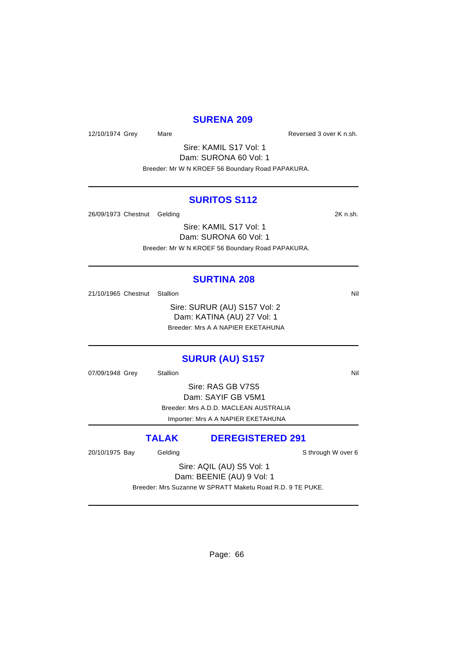### **SURENA 209**

12/10/1974 Grey Mare Mare Reversed 3 over K n.sh.

Sire: KAMIL S17 Vol: 1 Dam: SURONA 60 Vol: 1 Breeder: Mr W N KROEF 56 Boundary Road PAPAKURA.

#### **SURITOS S112**

26/09/1973 Chestnut Gelding 2K n.sh.

Sire: KAMIL S17 Vol: 1 Dam: SURONA 60 Vol: 1 Breeder: Mr W N KROEF 56 Boundary Road PAPAKURA.

#### **SURTINA 208**

21/10/1965 Chestnut Stallion Nil

Sire: SURUR (AU) S157 Vol: 2 Dam: KATINA (AU) 27 Vol: 1 Breeder: Mrs A A NAPIER EKETAHUNA

### **SURUR (AU) S157**

07/09/1948 Grey Stallion Stallion Nil

Sire: RAS GB V7S5 Dam: SAYIF GB V5M1 Breeder: Mrs A.D.D. MACLEAN AUSTRALIA Importer: Mrs A A NAPIER EKETAHUNA

### **TALAK DEREGISTERED 291**

20/10/1975 Bay Gelding School and School and School and School and School and School and School and School and

Sire: AQIL (AU) S5 Vol: 1 Dam: BEENIE (AU) 9 Vol: 1

Breeder: Mrs Suzanne W SPRATT Maketu Road R.D. 9 TE PUKE.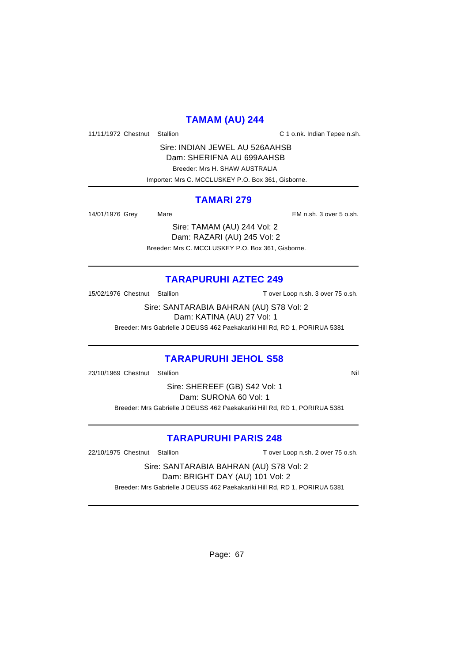### **TAMAM (AU) 244**

11/11/1972 Chestnut Stallion C 1 o.nk. Indian Tepee n.sh.

Sire: INDIAN JEWEL AU 526AAHSB Dam: SHERIFNA AU 699AAHSB Breeder: Mrs H. SHAW AUSTRALIA Importer: Mrs C. MCCLUSKEY P.O. Box 361, Gisborne.

### **TAMARI 279**

14/01/1976 Grey Mare EM n.sh. 3 over 5 o.sh.

Sire: TAMAM (AU) 244 Vol: 2 Dam: RAZARI (AU) 245 Vol: 2 Breeder: Mrs C. MCCLUSKEY P.O. Box 361, Gisborne.

### **TARAPURUHI AZTEC 249**

15/02/1976 Chestnut Stallion T over Loop n.sh. 3 over 75 o.sh.

Sire: SANTARABIA BAHRAN (AU) S78 Vol: 2 Dam: KATINA (AU) 27 Vol: 1

Breeder: Mrs Gabrielle J DEUSS 462 Paekakariki Hill Rd, RD 1, PORIRUA 5381

### **TARAPURUHI JEHOL S58**

23/10/1969 Chestnut Stallion Nill and State of the Nill and State of Nill and State of Nill and State of Nill

Sire: SHEREEF (GB) S42 Vol: 1 Dam: SURONA 60 Vol: 1 Breeder: Mrs Gabrielle J DEUSS 462 Paekakariki Hill Rd, RD 1, PORIRUA 5381

### **TARAPURUHI PARIS 248**

22/10/1975 Chestnut Stallion T over Loop n.sh. 2 over 75 o.sh.

Sire: SANTARABIA BAHRAN (AU) S78 Vol: 2 Dam: BRIGHT DAY (AU) 101 Vol: 2 Breeder: Mrs Gabrielle J DEUSS 462 Paekakariki Hill Rd, RD 1, PORIRUA 5381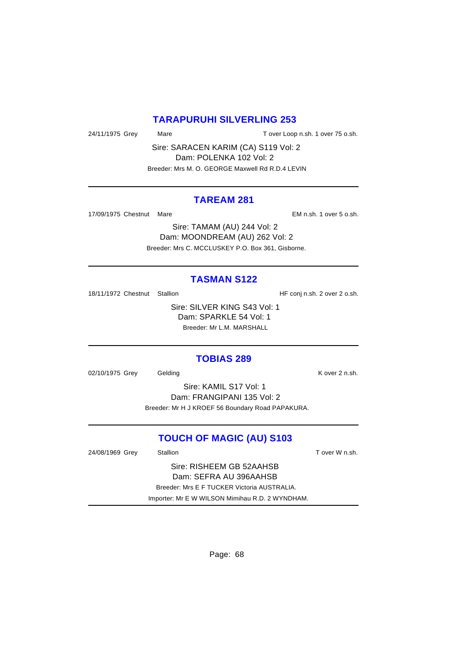### **TARAPURUHI SILVERLING 253**

24/11/1975 Grey Mare Mare T over Loop n.sh. 1 over 75 o.sh.

Sire: SARACEN KARIM (CA) S119 Vol: 2 Dam: POLENKA 102 Vol: 2 Breeder: Mrs M. O. GEORGE Maxwell Rd R.D.4 LEVIN

#### **TAREAM 281**

17/09/1975 Chestnut Mare EM n.sh. 1 over 5 o.sh.

Sire: TAMAM (AU) 244 Vol: 2 Dam: MOONDREAM (AU) 262 Vol: 2 Breeder: Mrs C. MCCLUSKEY P.O. Box 361, Gisborne.

### **TASMAN S122**

18/11/1972 Chestnut Stallion **HF** conj n.sh. 2 over 2 o.sh.

Sire: SILVER KING S43 Vol: 1 Dam: SPARKLE 54 Vol: 1 Breeder: Mr L.M. MARSHALL

#### **TOBIAS 289**

02/10/1975 Grey Gelding Contact Contact Contact Contact Contact Contact Contact Contact Contact Contact Contact Contact Contact Contact Contact Contact Contact Contact Contact Contact Contact Contact Contact Contact Contac

Sire: KAMIL S17 Vol: 1 Dam: FRANGIPANI 135 Vol: 2 Breeder: Mr H J KROEF 56 Boundary Road PAPAKURA.

### **TOUCH OF MAGIC (AU) S103**

24/08/1969 Grey Stallion Stallion State T over W n.sh.

Sire: RISHEEM GB 52AAHSB Dam: SEFRA AU 396AAHSB Breeder: Mrs E F TUCKER Victoria AUSTRALIA. Importer: Mr E W WILSON Mimihau R.D. 2 WYNDHAM.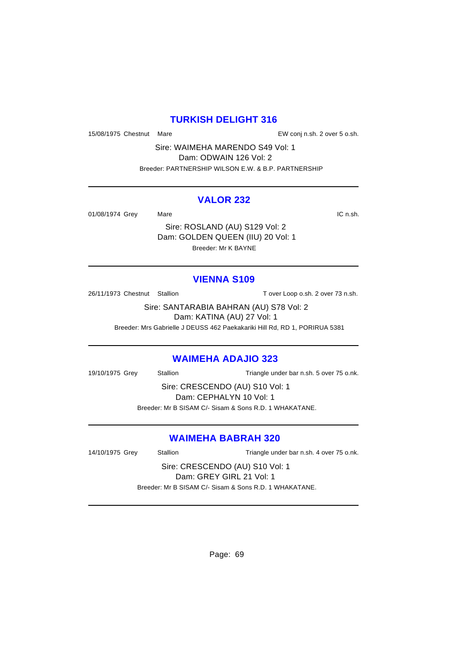### **TURKISH DELIGHT 316**

15/08/1975 Chestnut Mare EW conj n.sh. 2 over 5 o.sh.

Sire: WAIMEHA MARENDO S49 Vol: 1 Dam: ODWAIN 126 Vol: 2 Breeder: PARTNERSHIP WILSON E.W. & B.P. PARTNERSHIP

#### **VALOR 232**

01/08/1974 Grey Mare **Mark** Mare **IC n.sh.** 

Sire: ROSLAND (AU) S129 Vol: 2 Dam: GOLDEN QUEEN (IIU) 20 Vol: 1 Breeder: Mr K BAYNE

### **VIENNA S109**

26/11/1973 Chestnut Stallion T over Loop o.sh. 2 over 73 n.sh.

Sire: SANTARABIA BAHRAN (AU) S78 Vol: 2 Dam: KATINA (AU) 27 Vol: 1

Breeder: Mrs Gabrielle J DEUSS 462 Paekakariki Hill Rd, RD 1, PORIRUA 5381

### **WAIMEHA ADAJIO 323**

19/10/1975 Grey Stallion Triangle under bar n.sh. 5 over 75 o.nk.

Sire: CRESCENDO (AU) S10 Vol: 1 Dam: CEPHALYN 10 Vol: 1 Breeder: Mr B SISAM C/- Sisam & Sons R.D. 1 WHAKATANE.

### **WAIMEHA BABRAH 320**

14/10/1975 Grey Stallion Triangle under bar n.sh. 4 over 75 o.nk.

Sire: CRESCENDO (AU) S10 Vol: 1 Dam: GREY GIRL 21 Vol: 1 Breeder: Mr B SISAM C/- Sisam & Sons R.D. 1 WHAKATANE.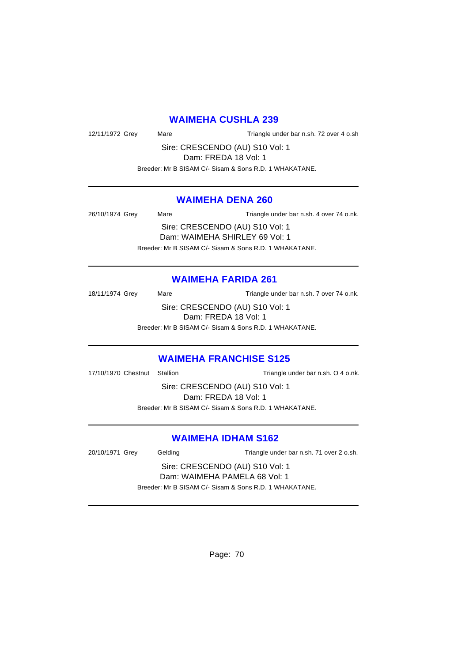### **WAIMEHA CUSHLA 239**

12/11/1972 Grey Mare Mare Triangle under bar n.sh. 72 over 4 o.sh

Sire: CRESCENDO (AU) S10 Vol: 1

Dam: FREDA 18 Vol: 1 Breeder: Mr B SISAM C/- Sisam & Sons R.D. 1 WHAKATANE.

### **WAIMEHA DENA 260**

26/10/1974 Grey Mare Mare Triangle under bar n.sh. 4 over 74 o.nk.

Sire: CRESCENDO (AU) S10 Vol: 1 Dam: WAIMEHA SHIRLEY 69 Vol: 1 Breeder: Mr B SISAM C/- Sisam & Sons R.D. 1 WHAKATANE.

### **WAIMEHA FARIDA 261**

18/11/1974 Grey Mare Mare Triangle under bar n.sh. 7 over 74 o.nk. Sire: CRESCENDO (AU) S10 Vol: 1 Dam: FREDA 18 Vol: 1 Breeder: Mr B SISAM C/- Sisam & Sons R.D. 1 WHAKATANE.

### **WAIMEHA FRANCHISE S125**

17/10/1970 Chestnut Stallion Triangle under bar n.sh. O 4 o.nk.

Sire: CRESCENDO (AU) S10 Vol: 1 Dam: FREDA 18 Vol: 1 Breeder: Mr B SISAM C/- Sisam & Sons R.D. 1 WHAKATANE.

### **WAIMEHA IDHAM S162**

20/10/1971 Grey Gelding Triangle under bar n.sh. 71 over 2 o.sh.

Sire: CRESCENDO (AU) S10 Vol: 1 Dam: WAIMEHA PAMELA 68 Vol: 1 Breeder: Mr B SISAM C/- Sisam & Sons R.D. 1 WHAKATANE.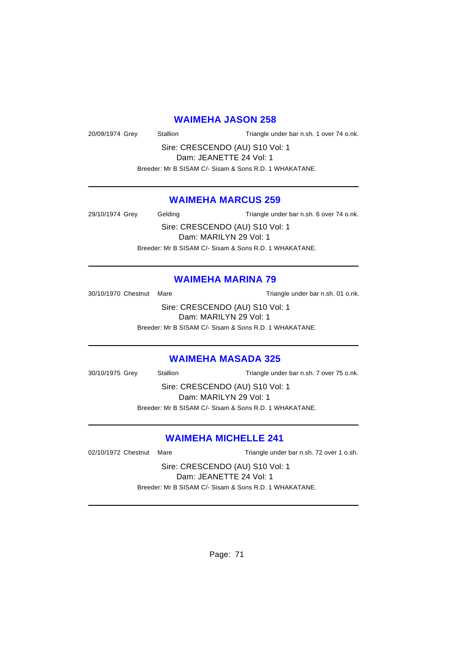#### **WAIMEHA JASON 258**

20/09/1974 Grey Stallion Triangle under bar n.sh. 1 over 74 o.nk.

Sire: CRESCENDO (AU) S10 Vol: 1 Dam: JEANETTE 24 Vol: 1

Breeder: Mr B SISAM C/- Sisam & Sons R.D. 1 WHAKATANE.

### **WAIMEHA MARCUS 259**

29/10/1974 Grey Gelding Triangle under bar n.sh. 6 over 74 o.nk.

Sire: CRESCENDO (AU) S10 Vol: 1 Dam: MARILYN 29 Vol: 1 Breeder: Mr B SISAM C/- Sisam & Sons R.D. 1 WHAKATANE.

#### **WAIMEHA MARINA 79**

30/10/1970 Chestnut Mare Triangle under bar n.sh. 01 o.nk.

Sire: CRESCENDO (AU) S10 Vol: 1 Dam: MARILYN 29 Vol: 1

Breeder: Mr B SISAM C/- Sisam & Sons R.D. 1 WHAKATANE.

#### **WAIMEHA MASADA 325**

30/10/1975 Grey Stallion Triangle under bar n.sh. 7 over 75 o.nk.

Sire: CRESCENDO (AU) S10 Vol: 1 Dam: MARILYN 29 Vol: 1 Breeder: Mr B SISAM C/- Sisam & Sons R.D. 1 WHAKATANE.

### **WAIMEHA MICHELLE 241**

02/10/1972 Chestnut Mare Triangle under bar n.sh. 72 over 1 o.sh.

Sire: CRESCENDO (AU) S10 Vol: 1 Dam: JEANETTE 24 Vol: 1 Breeder: Mr B SISAM C/- Sisam & Sons R.D. 1 WHAKATANE.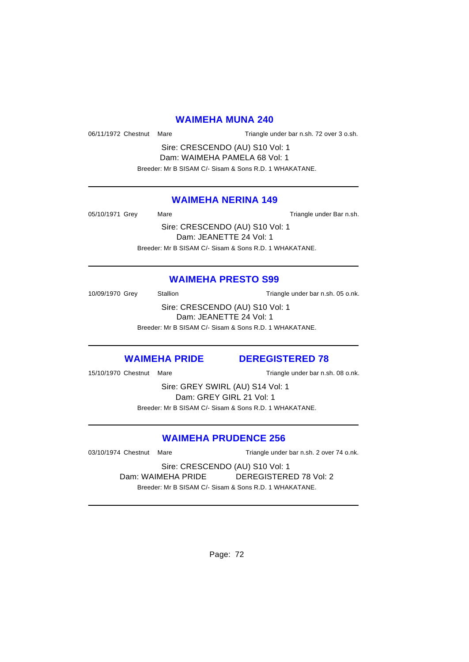### **WAIMEHA MUNA 240**

06/11/1972 Chestnut Mare Triangle under bar n.sh. 72 over 3 o.sh.

Sire: CRESCENDO (AU) S10 Vol: 1 Dam: WAIMEHA PAMELA 68 Vol: 1 Breeder: Mr B SISAM C/- Sisam & Sons R.D. 1 WHAKATANE.

### **WAIMEHA NERINA 149**

05/10/1971 Grey Mare Mare Triangle under Bar n.sh.

Sire: CRESCENDO (AU) S10 Vol: 1 Dam: JEANETTE 24 Vol: 1 Breeder: Mr B SISAM C/- Sisam & Sons R.D. 1 WHAKATANE.

### **WAIMEHA PRESTO S99**

10/09/1970 Grey Stallion Stallion Triangle under bar n.sh. 05 o.nk.

Sire: CRESCENDO (AU) S10 Vol: 1 Dam: JEANETTE 24 Vol: 1 Breeder: Mr B SISAM C/- Sisam & Sons R.D. 1 WHAKATANE.

### **WAIMEHA PRIDE DEREGISTERED 78**

15/10/1970 Chestnut Mare Triangle under bar n.sh. 08 o.nk.

Sire: GREY SWIRL (AU) S14 Vol: 1 Dam: GREY GIRL 21 Vol: 1 Breeder: Mr B SISAM C/- Sisam & Sons R.D. 1 WHAKATANE.

### **WAIMEHA PRUDENCE 256**

03/10/1974 Chestnut Mare Triangle under bar n.sh. 2 over 74 o.nk.

Sire: CRESCENDO (AU) S10 Vol: 1 Dam: WAIMEHA PRIDE DEREGISTERED 78 Vol: 2 Breeder: Mr B SISAM C/- Sisam & Sons R.D. 1 WHAKATANE.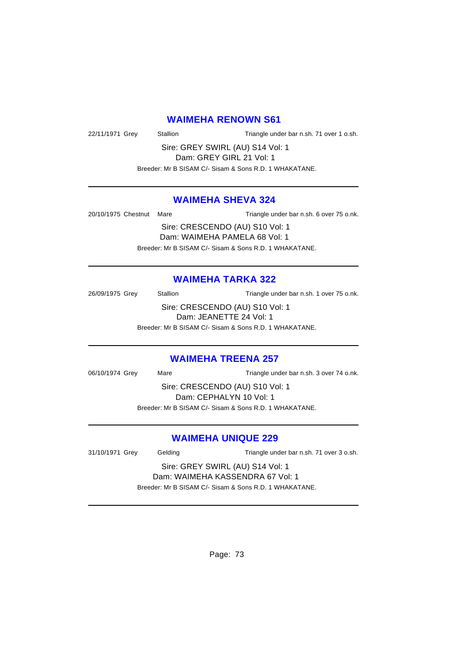#### **WAIMEHA RENOWN S61**

22/11/1971 Grey Stallion Triangle under bar n.sh. 71 over 1 o.sh.

Sire: GREY SWIRL (AU) S14 Vol: 1 Dam: GREY GIRL 21 Vol: 1

Breeder: Mr B SISAM C/- Sisam & Sons R.D. 1 WHAKATANE.

# **WAIMEHA SHEVA 324**

20/10/1975 Chestnut Mare Triangle under bar n.sh. 6 over 75 o.nk.

Sire: CRESCENDO (AU) S10 Vol: 1 Dam: WAIMEHA PAMELA 68 Vol: 1 Breeder: Mr B SISAM C/- Sisam & Sons R.D. 1 WHAKATANE.

# **WAIMEHA TARKA 322**

26/09/1975 Grey Stallion Triangle under bar n.sh. 1 over 75 o.nk. Sire: CRESCENDO (AU) S10 Vol: 1 Dam: JEANETTE 24 Vol: 1 Breeder: Mr B SISAM C/- Sisam & Sons R.D. 1 WHAKATANE.

# **WAIMEHA TREENA 257**

06/10/1974 Grey Mare Mare Triangle under bar n.sh. 3 over 74 o.nk.

Sire: CRESCENDO (AU) S10 Vol: 1 Dam: CEPHALYN 10 Vol: 1 Breeder: Mr B SISAM C/- Sisam & Sons R.D. 1 WHAKATANE.

# **WAIMEHA UNIQUE 229**

31/10/1971 Grey Gelding Triangle under bar n.sh. 71 over 3 o.sh. Sire: GREY SWIRL (AU) S14 Vol: 1 Dam: WAIMEHA KASSENDRA 67 Vol: 1

Breeder: Mr B SISAM C/- Sisam & Sons R.D. 1 WHAKATANE.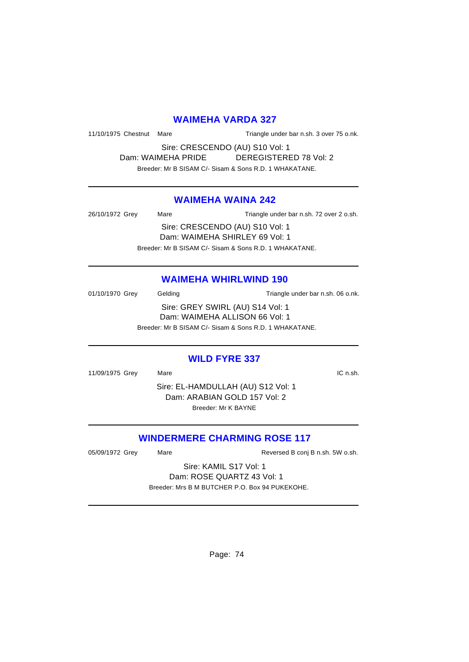# **WAIMEHA VARDA 327**

11/10/1975 Chestnut Mare Triangle under bar n.sh. 3 over 75 o.nk.

Sire: CRESCENDO (AU) S10 Vol: 1 Dam: WAIMEHA PRIDE DEREGISTERED 78 Vol: 2 Breeder: Mr B SISAM C/- Sisam & Sons R.D. 1 WHAKATANE.

# **WAIMEHA WAINA 242**

26/10/1972 Grey Mare Mare Triangle under bar n.sh. 72 over 2 o.sh. Sire: CRESCENDO (AU) S10 Vol: 1 Dam: WAIMEHA SHIRLEY 69 Vol: 1 Breeder: Mr B SISAM C/- Sisam & Sons R.D. 1 WHAKATANE.

#### **WAIMEHA WHIRLWIND 190**

01/10/1970 Grey Gelding Gelding Triangle under bar n.sh. 06 o.nk. Sire: GREY SWIRL (AU) S14 Vol: 1 Dam: WAIMEHA ALLISON 66 Vol: 1 Breeder: Mr B SISAM C/- Sisam & Sons R.D. 1 WHAKATANE.

# **WILD FYRE 337**

11/09/1975 Grey Mare **Market Market Account Account Account Account Account Account Account Account Account Account Account Account Account Account Account Account Account Account Account Account Account Account Account Ac** 

Sire: EL-HAMDULLAH (AU) S12 Vol: 1 Dam: ARABIAN GOLD 157 Vol: 2 Breeder: Mr K BAYNE

# **WINDERMERE CHARMING ROSE 117**

05/09/1972 Grey Mare Mare Reversed B conj B n.sh. 5W o.sh.

Sire: KAMIL S17 Vol: 1 Dam: ROSE QUARTZ 43 Vol: 1 Breeder: Mrs B M BUTCHER P.O. Box 94 PUKEKOHE.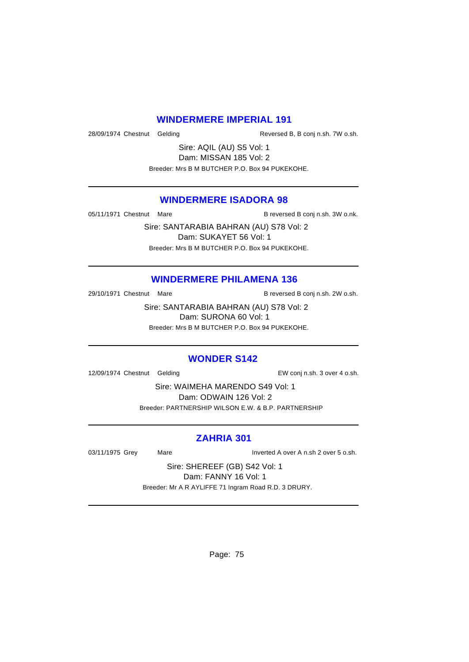# **WINDERMERE IMPERIAL 191**

28/09/1974 Chestnut Gelding Reversed B, B conj n.sh. 7W o.sh.

Sire: AQIL (AU) S5 Vol: 1 Dam: MISSAN 185 Vol: 2 Breeder: Mrs B M BUTCHER P.O. Box 94 PUKEKOHE.

# **WINDERMERE ISADORA 98**

05/11/1971 Chestnut Mare **B** reversed B conj n.sh. 3W o.nk.

Sire: SANTARABIA BAHRAN (AU) S78 Vol: 2 Dam: SUKAYET 56 Vol: 1 Breeder: Mrs B M BUTCHER P.O. Box 94 PUKEKOHE.

#### **WINDERMERE PHILAMENA 136**

29/10/1971 Chestnut Mare B reversed B conj n.sh. 2W o.sh.

Sire: SANTARABIA BAHRAN (AU) S78 Vol: 2 Dam: SURONA 60 Vol: 1 Breeder: Mrs B M BUTCHER P.O. Box 94 PUKEKOHE.

# **WONDER S142**

12/09/1974 Chestnut Gelding EW conj n.sh. 3 over 4 o.sh.

Sire: WAIMEHA MARENDO S49 Vol: 1 Dam: ODWAIN 126 Vol: 2 Breeder: PARTNERSHIP WILSON E.W. & B.P. PARTNERSHIP

#### **ZAHRIA 301**

03/11/1975 Grey Mare Inverted A over A n.sh 2 over 5 o.sh.

Sire: SHEREEF (GB) S42 Vol: 1 Dam: FANNY 16 Vol: 1 Breeder: Mr A R AYLIFFE 71 Ingram Road R.D. 3 DRURY.